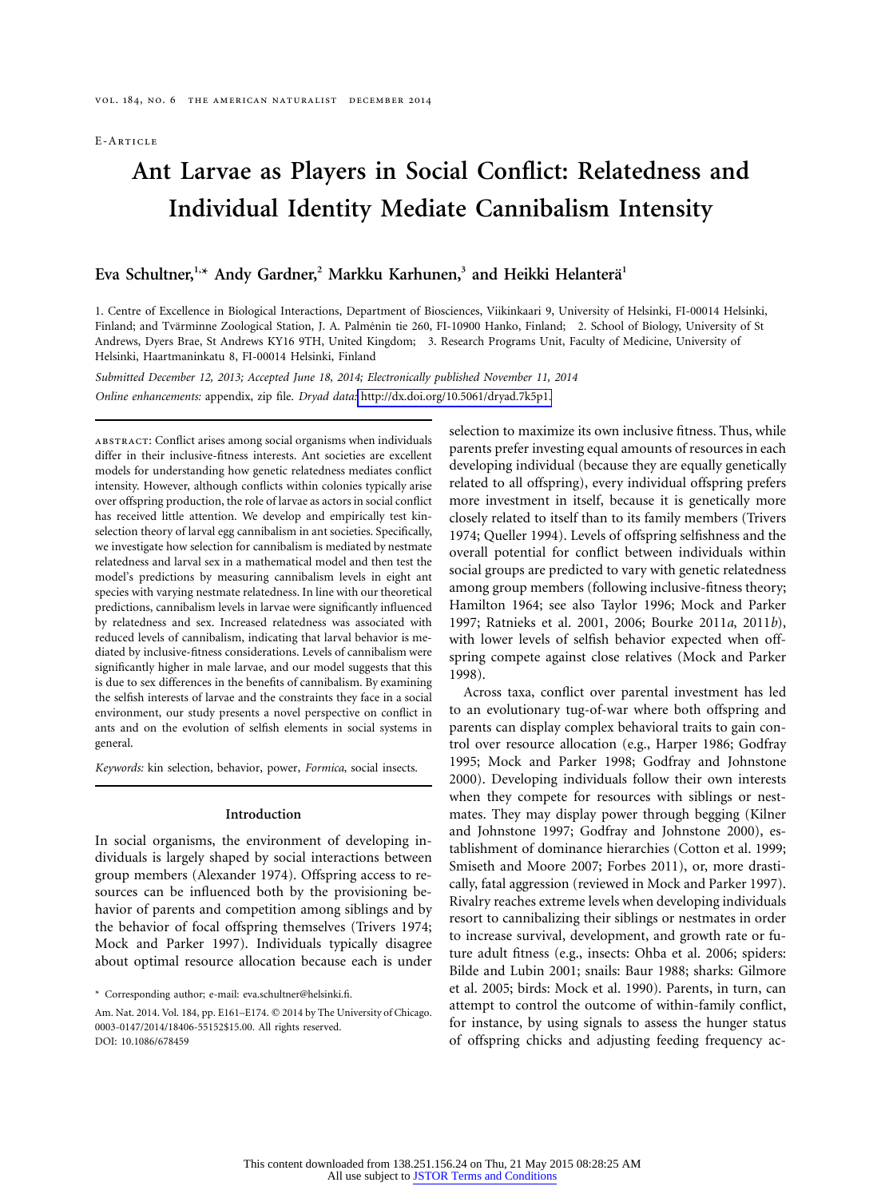#### E-Article

# **Ant Larvae as Players in Social Conflict: Relatedness and Individual Identity Mediate Cannibalism Intensity**

# **Eva Schultner,1,\* Andy Gardner,2 Markku Karhunen,3 and Heikki Helantera¨ 1**

1. Centre of Excellence in Biological Interactions, Department of Biosciences, Viikinkaari 9, University of Helsinki, FI-00014 Helsinki, Finland; and Tvärminne Zoological Station, J. A. Palménin tie 260, FI-10900 Hanko, Finland; 2. School of Biology, University of St Andrews, Dyers Brae, St Andrews KY16 9TH, United Kingdom; 3. Research Programs Unit, Faculty of Medicine, University of Helsinki, Haartmaninkatu 8, FI-00014 Helsinki, Finland

*Submitted December 12, 2013; Accepted June 18, 2014; Electronically published November 11, 2014 Online enhancements:* appendix, zip file. *Dryad data:* [http://dx.doi.org/10.5061/dryad.7k5p1.](http://dx.doi.org/10.5061/dryad.7k5p1)

abstract: Conflict arises among social organisms when individuals differ in their inclusive-fitness interests. Ant societies are excellent models for understanding how genetic relatedness mediates conflict intensity. However, although conflicts within colonies typically arise over offspring production, the role of larvae as actors in social conflict has received little attention. We develop and empirically test kinselection theory of larval egg cannibalism in ant societies. Specifically, we investigate how selection for cannibalism is mediated by nestmate relatedness and larval sex in a mathematical model and then test the model's predictions by measuring cannibalism levels in eight ant species with varying nestmate relatedness. In line with our theoretical predictions, cannibalism levels in larvae were significantly influenced by relatedness and sex. Increased relatedness was associated with reduced levels of cannibalism, indicating that larval behavior is mediated by inclusive-fitness considerations. Levels of cannibalism were significantly higher in male larvae, and our model suggests that this is due to sex differences in the benefits of cannibalism. By examining the selfish interests of larvae and the constraints they face in a social environment, our study presents a novel perspective on conflict in ants and on the evolution of selfish elements in social systems in general.

*Keywords:* kin selection, behavior, power, *Formica*, social insects.

#### **Introduction**

In social organisms, the environment of developing individuals is largely shaped by social interactions between group members (Alexander 1974). Offspring access to resources can be influenced both by the provisioning behavior of parents and competition among siblings and by the behavior of focal offspring themselves (Trivers 1974; Mock and Parker 1997). Individuals typically disagree about optimal resource allocation because each is under

selection to maximize its own inclusive fitness. Thus, while parents prefer investing equal amounts of resources in each developing individual (because they are equally genetically related to all offspring), every individual offspring prefers more investment in itself, because it is genetically more closely related to itself than to its family members (Trivers 1974; Queller 1994). Levels of offspring selfishness and the overall potential for conflict between individuals within social groups are predicted to vary with genetic relatedness among group members (following inclusive-fitness theory; Hamilton 1964; see also Taylor 1996; Mock and Parker 1997; Ratnieks et al. 2001, 2006; Bourke 2011*a*, 2011*b*), with lower levels of selfish behavior expected when offspring compete against close relatives (Mock and Parker 1998).

Across taxa, conflict over parental investment has led to an evolutionary tug-of-war where both offspring and parents can display complex behavioral traits to gain control over resource allocation (e.g., Harper 1986; Godfray 1995; Mock and Parker 1998; Godfray and Johnstone 2000). Developing individuals follow their own interests when they compete for resources with siblings or nestmates. They may display power through begging (Kilner and Johnstone 1997; Godfray and Johnstone 2000), establishment of dominance hierarchies (Cotton et al. 1999; Smiseth and Moore 2007; Forbes 2011), or, more drastically, fatal aggression (reviewed in Mock and Parker 1997). Rivalry reaches extreme levels when developing individuals resort to cannibalizing their siblings or nestmates in order to increase survival, development, and growth rate or future adult fitness (e.g., insects: Ohba et al. 2006; spiders: Bilde and Lubin 2001; snails: Baur 1988; sharks: Gilmore et al. 2005; birds: Mock et al. 1990). Parents, in turn, can attempt to control the outcome of within-family conflict, for instance, by using signals to assess the hunger status of offspring chicks and adjusting feeding frequency ac-

<sup>\*</sup> Corresponding author; e-mail: [eva.schultner@helsinki.fi.](mailto:eva.schultner@helsinki.fi)

Am. Nat. 2014. Vol. 184, pp. E161–E174. © 2014 by The University of Chicago. 0003-0147/2014/18406-55152\$15.00. All rights reserved. DOI: 10.1086/678459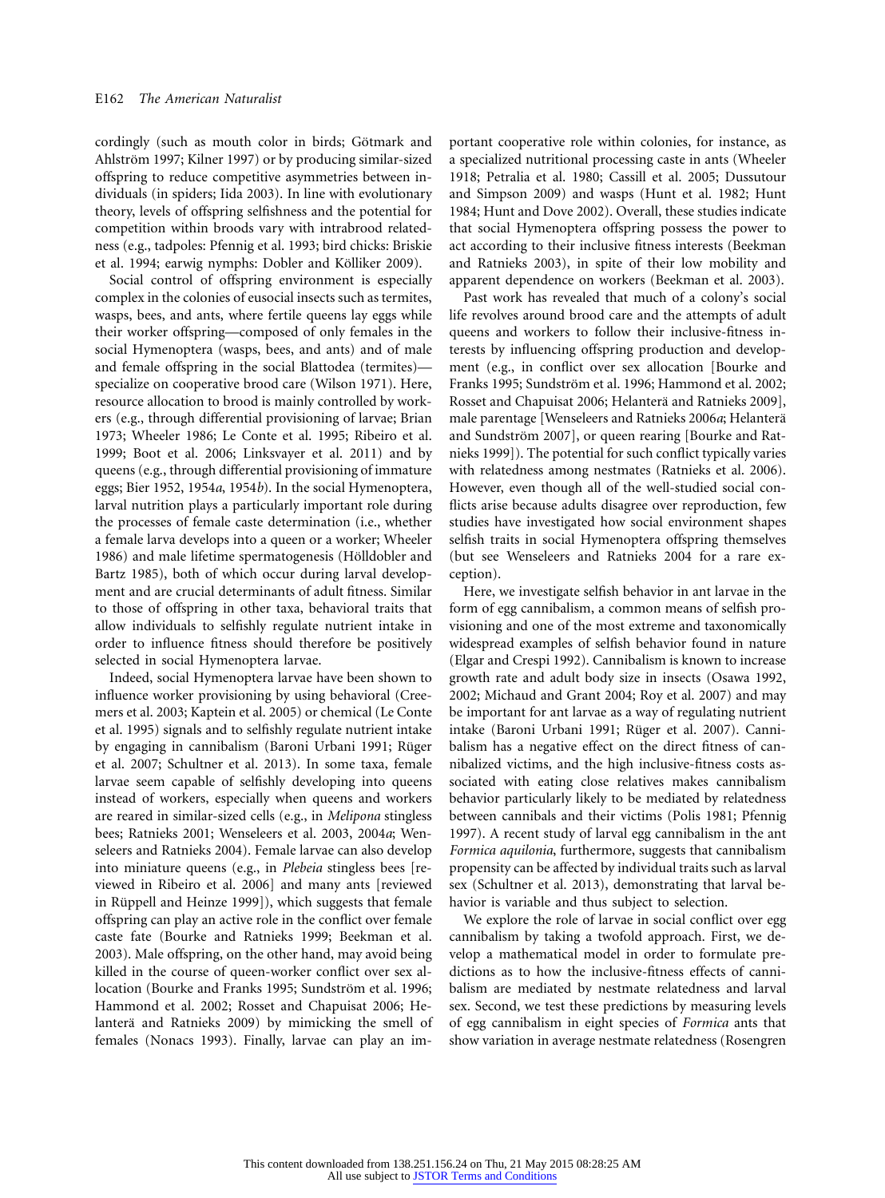cordingly (such as mouth color in birds; Götmark and Ahlström 1997; Kilner 1997) or by producing similar-sized offspring to reduce competitive asymmetries between individuals (in spiders; Iida 2003). In line with evolutionary theory, levels of offspring selfishness and the potential for competition within broods vary with intrabrood relatedness (e.g., tadpoles: Pfennig et al. 1993; bird chicks: Briskie et al. 1994; earwig nymphs: Dobler and Kölliker 2009).

Social control of offspring environment is especially complex in the colonies of eusocial insects such as termites, wasps, bees, and ants, where fertile queens lay eggs while their worker offspring—composed of only females in the social Hymenoptera (wasps, bees, and ants) and of male and female offspring in the social Blattodea (termites) specialize on cooperative brood care (Wilson 1971). Here, resource allocation to brood is mainly controlled by workers (e.g., through differential provisioning of larvae; Brian 1973; Wheeler 1986; Le Conte et al. 1995; Ribeiro et al. 1999; Boot et al. 2006; Linksvayer et al. 2011) and by queens (e.g., through differential provisioning of immature eggs; Bier 1952, 1954*a*, 1954*b*). In the social Hymenoptera, larval nutrition plays a particularly important role during the processes of female caste determination (i.e., whether a female larva develops into a queen or a worker; Wheeler 1986) and male lifetime spermatogenesis (Hölldobler and Bartz 1985), both of which occur during larval development and are crucial determinants of adult fitness. Similar to those of offspring in other taxa, behavioral traits that allow individuals to selfishly regulate nutrient intake in order to influence fitness should therefore be positively selected in social Hymenoptera larvae.

Indeed, social Hymenoptera larvae have been shown to influence worker provisioning by using behavioral (Creemers et al. 2003; Kaptein et al. 2005) or chemical (Le Conte et al. 1995) signals and to selfishly regulate nutrient intake by engaging in cannibalism (Baroni Urbani 1991; Rüger et al. 2007; Schultner et al. 2013). In some taxa, female larvae seem capable of selfishly developing into queens instead of workers, especially when queens and workers are reared in similar-sized cells (e.g., in *Melipona* stingless bees; Ratnieks 2001; Wenseleers et al. 2003, 2004*a*; Wenseleers and Ratnieks 2004). Female larvae can also develop into miniature queens (e.g., in *Plebeia* stingless bees [reviewed in Ribeiro et al. 2006] and many ants [reviewed in Rüppell and Heinze 1999]), which suggests that female offspring can play an active role in the conflict over female caste fate (Bourke and Ratnieks 1999; Beekman et al. 2003). Male offspring, on the other hand, may avoid being killed in the course of queen-worker conflict over sex allocation (Bourke and Franks 1995; Sundström et al. 1996; Hammond et al. 2002; Rosset and Chapuisat 2006; Helanterä and Ratnieks 2009) by mimicking the smell of females (Nonacs 1993). Finally, larvae can play an important cooperative role within colonies, for instance, as a specialized nutritional processing caste in ants (Wheeler 1918; Petralia et al. 1980; Cassill et al. 2005; Dussutour and Simpson 2009) and wasps (Hunt et al. 1982; Hunt 1984; Hunt and Dove 2002). Overall, these studies indicate that social Hymenoptera offspring possess the power to act according to their inclusive fitness interests (Beekman and Ratnieks 2003), in spite of their low mobility and apparent dependence on workers (Beekman et al. 2003).

Past work has revealed that much of a colony's social life revolves around brood care and the attempts of adult queens and workers to follow their inclusive-fitness interests by influencing offspring production and development (e.g., in conflict over sex allocation [Bourke and Franks 1995; Sundström et al. 1996; Hammond et al. 2002; Rosset and Chapuisat 2006; Helanterä and Ratnieks 2009], male parentage [Wenseleers and Ratnieks 2006*a*; Helantera¨ and Sundström 2007], or queen rearing [Bourke and Ratnieks 1999]). The potential for such conflict typically varies with relatedness among nestmates (Ratnieks et al. 2006). However, even though all of the well-studied social conflicts arise because adults disagree over reproduction, few studies have investigated how social environment shapes selfish traits in social Hymenoptera offspring themselves (but see Wenseleers and Ratnieks 2004 for a rare exception).

Here, we investigate selfish behavior in ant larvae in the form of egg cannibalism, a common means of selfish provisioning and one of the most extreme and taxonomically widespread examples of selfish behavior found in nature (Elgar and Crespi 1992). Cannibalism is known to increase growth rate and adult body size in insects (Osawa 1992, 2002; Michaud and Grant 2004; Roy et al. 2007) and may be important for ant larvae as a way of regulating nutrient intake (Baroni Urbani 1991; Rüger et al. 2007). Cannibalism has a negative effect on the direct fitness of cannibalized victims, and the high inclusive-fitness costs associated with eating close relatives makes cannibalism behavior particularly likely to be mediated by relatedness between cannibals and their victims (Polis 1981; Pfennig 1997). A recent study of larval egg cannibalism in the ant *Formica aquilonia*, furthermore, suggests that cannibalism propensity can be affected by individual traits such as larval sex (Schultner et al. 2013), demonstrating that larval behavior is variable and thus subject to selection.

We explore the role of larvae in social conflict over egg cannibalism by taking a twofold approach. First, we develop a mathematical model in order to formulate predictions as to how the inclusive-fitness effects of cannibalism are mediated by nestmate relatedness and larval sex. Second, we test these predictions by measuring levels of egg cannibalism in eight species of *Formica* ants that show variation in average nestmate relatedness (Rosengren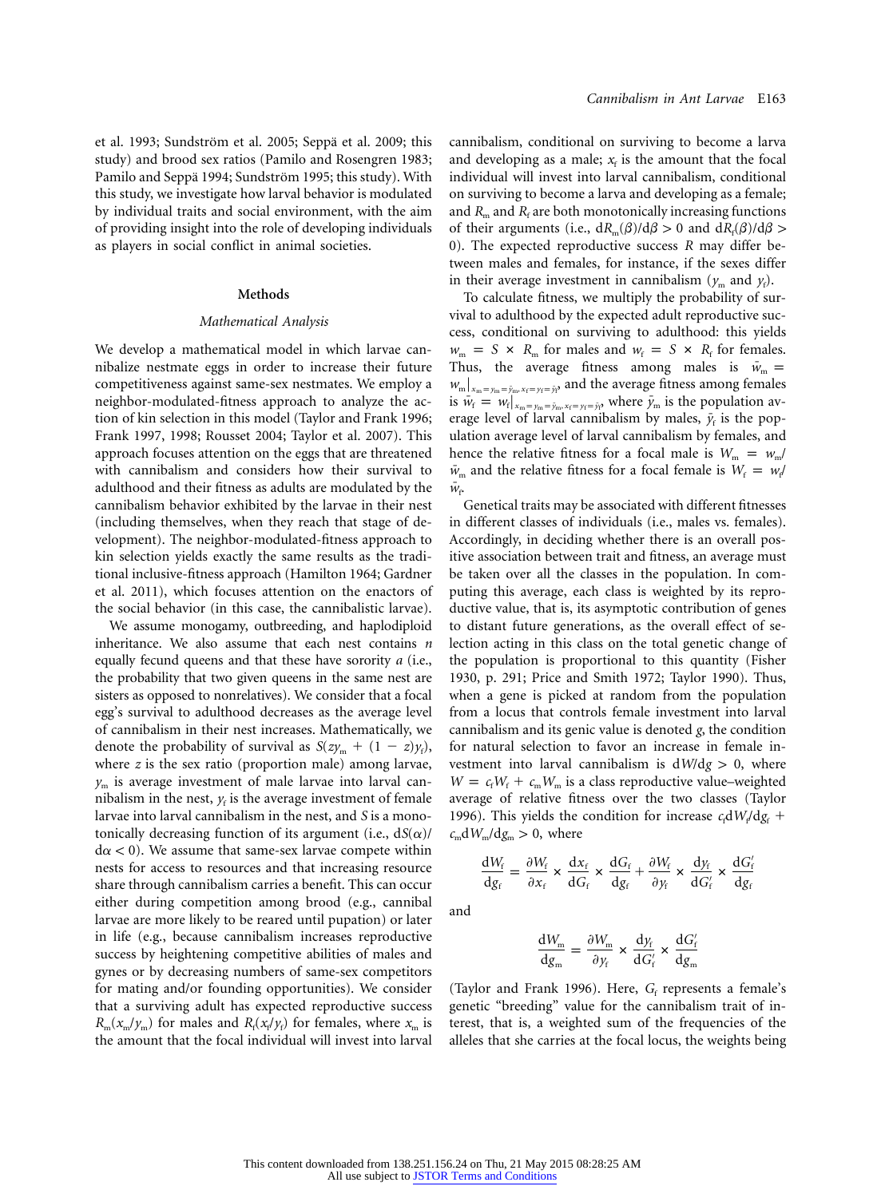et al. 1993; Sundström et al. 2005; Seppä et al. 2009; this study) and brood sex ratios (Pamilo and Rosengren 1983; Pamilo and Seppä 1994; Sundström 1995; this study). With this study, we investigate how larval behavior is modulated by individual traits and social environment, with the aim of providing insight into the role of developing individuals as players in social conflict in animal societies.

## **Methods**

#### *Mathematical Analysis*

We develop a mathematical model in which larvae cannibalize nestmate eggs in order to increase their future competitiveness against same-sex nestmates. We employ a neighbor-modulated-fitness approach to analyze the action of kin selection in this model (Taylor and Frank 1996; Frank 1997, 1998; Rousset 2004; Taylor et al. 2007). This approach focuses attention on the eggs that are threatened with cannibalism and considers how their survival to adulthood and their fitness as adults are modulated by the cannibalism behavior exhibited by the larvae in their nest (including themselves, when they reach that stage of development). The neighbor-modulated-fitness approach to kin selection yields exactly the same results as the traditional inclusive-fitness approach (Hamilton 1964; Gardner et al. 2011), which focuses attention on the enactors of the social behavior (in this case, the cannibalistic larvae).

We assume monogamy, outbreeding, and haplodiploid inheritance. We also assume that each nest contains *n* equally fecund queens and that these have sorority *a* (i.e., the probability that two given queens in the same nest are sisters as opposed to nonrelatives). We consider that a focal egg's survival to adulthood decreases as the average level of cannibalism in their nest increases. Mathematically, we denote the probability of survival as  $S(zy_m + (1 - z)y_f)$ , where *z* is the sex ratio (proportion male) among larvae,  $y_m$  is average investment of male larvae into larval cannibalism in the nest,  $y_f$  is the average investment of female larvae into larval cannibalism in the nest, and *S* is a monotonically decreasing function of its argument (i.e.,  $dS(\alpha)$ /  $d\alpha$  < 0). We assume that same-sex larvae compete within nests for access to resources and that increasing resource share through cannibalism carries a benefit. This can occur either during competition among brood (e.g., cannibal larvae are more likely to be reared until pupation) or later in life (e.g., because cannibalism increases reproductive success by heightening competitive abilities of males and gynes or by decreasing numbers of same-sex competitors for mating and/or founding opportunities). We consider that a surviving adult has expected reproductive success  $R_m(x_m/y_m)$  for males and  $R_f(x_f/y_f)$  for females, where  $x_m$  is the amount that the focal individual will invest into larval

cannibalism, conditional on surviving to become a larva and developing as a male;  $x_f$  is the amount that the focal individual will invest into larval cannibalism, conditional on surviving to become a larva and developing as a female; and  $R_m$  and  $R_f$  are both monotonically increasing functions of their arguments (i.e.,  $dR_m(\beta)/d\beta > 0$  and  $dR_f(\beta)/d\beta >$ 0). The expected reproductive success *R* may differ between males and females, for instance, if the sexes differ in their average investment in cannibalism ( $y_m$  and  $y_f$ ).

To calculate fitness, we multiply the probability of survival to adulthood by the expected adult reproductive success, conditional on surviving to adulthood: this yields  $w_m = S \times R_m$  for males and  $w_f = S \times R_f$  for females. Thus, the average fitness among males is  $\bar{w}_m =$  $w_m|_{x_m = y_m = \bar{y}_m, x_f = y_f = \bar{y}_f}$  and the average fitness among females is  $\bar{w}_f = w_f|_{x_m = y_m = \bar{y}_m, x_f = y_f = \bar{y}_f}$ , where  $\bar{y}_m$  is the population average level of larval cannibalism by males,  $\bar{y}_f$  is the population average level of larval cannibalism by females, and hence the relative fitness for a focal male is  $W_m = w_m/$  $\bar{w}_m$  and the relative fitness for a focal female is  $W_f = w_f /$  $\bar{w}_{\rm f}$ .

Genetical traits may be associated with different fitnesses in different classes of individuals (i.e., males vs. females). Accordingly, in deciding whether there is an overall positive association between trait and fitness, an average must be taken over all the classes in the population. In computing this average, each class is weighted by its reproductive value, that is, its asymptotic contribution of genes to distant future generations, as the overall effect of selection acting in this class on the total genetic change of the population is proportional to this quantity (Fisher 1930, p. 291; Price and Smith 1972; Taylor 1990). Thus, when a gene is picked at random from the population from a locus that controls female investment into larval cannibalism and its genic value is denoted *g*, the condition for natural selection to favor an increase in female investment into larval cannibalism is  $dW/dg > 0$ , where  $W = c_f W_f + c_m W_m$  is a class reproductive value–weighted average of relative fitness over the two classes (Taylor 1996). This yields the condition for increase  $c_f dW_f/dg_f +$  $c_{\rm m} dW_{\rm m}/dg_{\rm m} > 0$ , where

$$
\frac{\mathrm{d}W_{\mathrm{f}}}{\mathrm{d}g_{\mathrm{f}}} = \frac{\partial W_{\mathrm{f}}}{\partial x_{\mathrm{f}}} \times \frac{\mathrm{d}x_{\mathrm{f}}}{\mathrm{d}G_{\mathrm{f}}} \times \frac{\mathrm{d}G_{\mathrm{f}}}{\mathrm{d}g_{\mathrm{f}}} + \frac{\partial W_{\mathrm{f}}}{\partial y_{\mathrm{f}}} \times \frac{\mathrm{d}y_{\mathrm{f}}}{\mathrm{d}G'_{\mathrm{f}}} \times \frac{\mathrm{d}G'_{\mathrm{f}}}{\mathrm{d}g_{\mathrm{f}}}
$$

and

$$
\frac{\mathrm{d}W_{\mathrm{m}}}{\mathrm{d}g_{\mathrm{m}}} = \frac{\partial W_{\mathrm{m}}}{\partial y_{\mathrm{f}}} \times \frac{\mathrm{d}y_{\mathrm{f}}}{\mathrm{d}G'_{\mathrm{f}}} \times \frac{\mathrm{d}G'_{\mathrm{f}}}{\mathrm{d}g_{\mathrm{m}}}
$$

(Taylor and Frank 1996). Here,  $G_f$  represents a female's genetic "breeding" value for the cannibalism trait of interest, that is, a weighted sum of the frequencies of the alleles that she carries at the focal locus, the weights being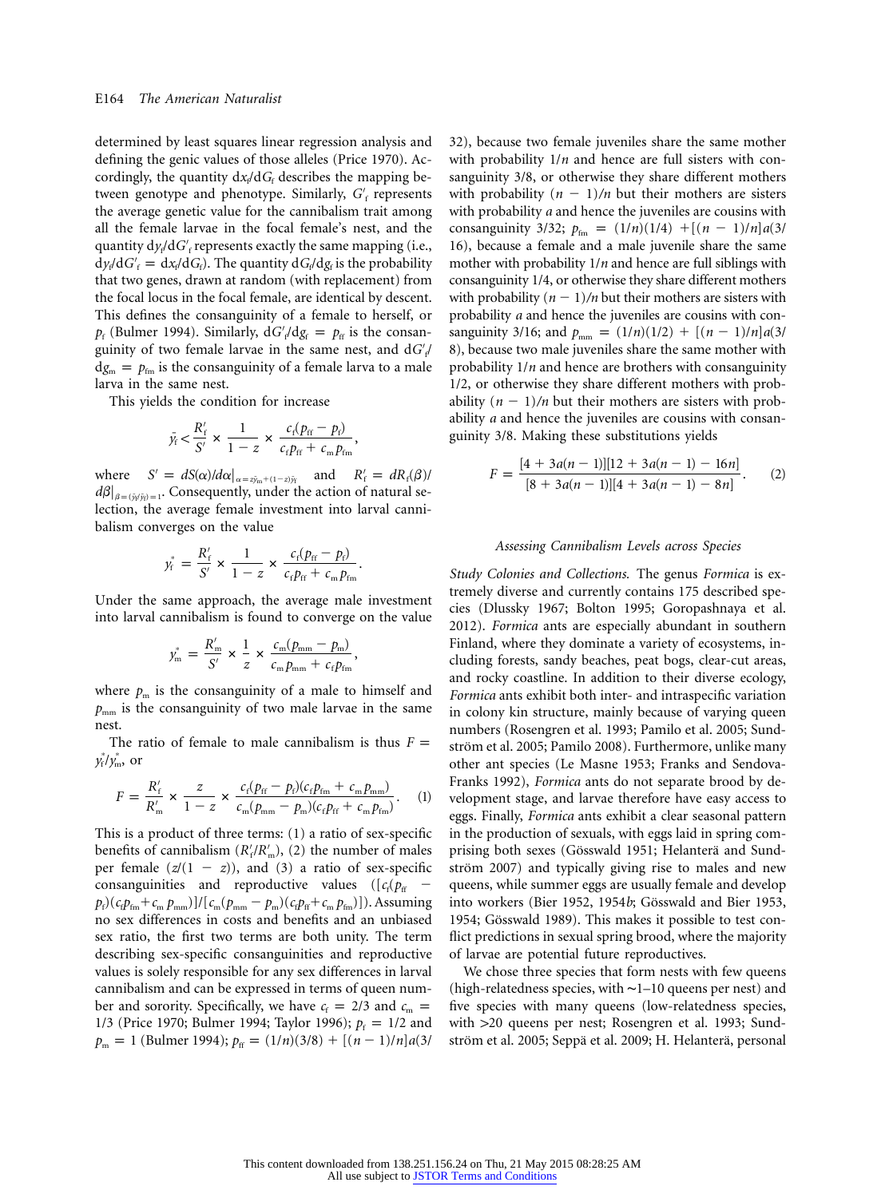determined by least squares linear regression analysis and defining the genic values of those alleles (Price 1970). Accordingly, the quantity  $dx_t/dG_f$  describes the mapping between genotype and phenotype. Similarly,  $G_f'$  represents the average genetic value for the cannibalism trait among all the female larvae in the focal female's nest, and the quantity  $dy_f/dG_f'$  represents exactly the same mapping (i.e.,  $dy_f/dG'_f = dx_f/dG_f$ . The quantity  $dG_f/dg_f$  is the probability that two genes, drawn at random (with replacement) from the focal locus in the focal female, are identical by descent. This defines the consanguinity of a female to herself, or  $p_f$  (Bulmer 1994). Similarly,  $dG'_{f}$ / $dg_f = p_{ff}$  is the consanguinity of two female larvae in the same nest, and  $dG'$ <sub>*i</sub>*</sub>  $dg_m = p_{fm}$  is the consanguinity of a female larva to a male larva in the same nest.

This yields the condition for increase

$$
\bar{y}_f < \frac{R'_f}{S'} \times \frac{1}{1-z} \times \frac{c_f(p_{ff} - p_f)}{c_f p_{ff} + c_m p_{fm}},
$$

where  $S' = dS(\alpha)/d\alpha|_{\alpha = z\bar{y}_{m} + (1-z)\bar{y}_{f}}$  and  $R'_{f} = dR_{f}(\beta)/d\alpha$  $d\beta|_{\beta=(\bar{y}/\bar{y}_0)=1}$ . Consequently, under the action of natural selection, the average female investment into larval cannibalism converges on the value

$$
y_f^* = \frac{R_f'}{S'} \times \frac{1}{1-z} \times \frac{c_f(p_{ff} - p_f)}{c_f p_{ff} + c_m p_{fm}}.
$$

Under the same approach, the average male investment into larval cannibalism is found to converge on the value

$$
y_m^* = \frac{R'_m}{S'} \times \frac{1}{z} \times \frac{c_m(p_{mm} - p_m)}{c_m p_{mm} + c_f p_{fm}},
$$

where  $p_m$  is the consanguinity of a male to himself and  $p_{\text{mm}}$  is the consanguinity of two male larvae in the same nest.

The ratio of female to male cannibalism is thus  $F =$  $y_f^*/y_m^*$ , or

$$
F = \frac{R'_{\rm f}}{R'_{\rm m}} \times \frac{z}{1-z} \times \frac{c_{\rm f}(p_{\rm ff} - p_{\rm f})(c_{\rm f}p_{\rm fm} + c_{\rm m}p_{\rm mm})}{c_{\rm m}(p_{\rm mm} - p_{\rm m})(c_{\rm f}p_{\rm ff} + c_{\rm m}p_{\rm fm})}.
$$
 (1)

This is a product of three terms: (1) a ratio of sex-specific benefits of cannibalism  $(R_f'R_m')$ , (2) the number of males per female  $(z/(1 - z))$ , and (3) a ratio of sex-specific consanguinities and reproductive values  $([c_f(p_{ff}$  $p_f$ )( $c_f p_{fm} + c_m p_{mm}$ )]/[ $c_m (p_{mm} - p_m)$ ( $c_f p_{ff} + c_m p_{fm}$ )]). Assuming no sex differences in costs and benefits and an unbiased sex ratio, the first two terms are both unity. The term describing sex-specific consanguinities and reproductive values is solely responsible for any sex differences in larval cannibalism and can be expressed in terms of queen number and sorority. Specifically, we have  $c_f = 2/3$  and  $c_m =$ 1/3 (Price 1970; Bulmer 1994; Taylor 1996);  $p_f = 1/2$  and  $p_m = 1$  (Bulmer 1994);  $p_f = (1/n)(3/8) + [(n-1)/n]a(3/8)$ 

32), because two female juveniles share the same mother with probability  $1/n$  and hence are full sisters with consanguinity 3/8, or otherwise they share different mothers with probability  $(n - 1)/n$  but their mothers are sisters with probability *a* and hence the juveniles are cousins with consanguinity 3/32;  $p_{\text{fm}} = (1/n)(1/4) + [(n - 1)/n]a(3/4)$ 16), because a female and a male juvenile share the same mother with probability  $1/n$  and hence are full siblings with consanguinity 1/4, or otherwise they share different mothers with probability  $(n - 1)/n$  but their mothers are sisters with probability *a* and hence the juveniles are cousins with consanguinity 3/16; and  $p_{\text{mm}} = (1/n)(1/2) + [(n - 1)/n]a(3/2)$ 8), because two male juveniles share the same mother with probability 1/*n* and hence are brothers with consanguinity 1/2, or otherwise they share different mothers with probability  $(n - 1)/n$  but their mothers are sisters with probability *a* and hence the juveniles are cousins with consanguinity 3/8. Making these substitutions yields

$$
F = \frac{[4 + 3a(n-1)][12 + 3a(n-1) - 16n]}{[8 + 3a(n-1)][4 + 3a(n-1) - 8n]}.
$$
 (2)

#### *Assessing Cannibalism Levels across Species*

*Study Colonies and Collections.* The genus *Formica* is extremely diverse and currently contains 175 described species (Dlussky 1967; Bolton 1995; Goropashnaya et al. 2012). *Formica* ants are especially abundant in southern Finland, where they dominate a variety of ecosystems, including forests, sandy beaches, peat bogs, clear-cut areas, and rocky coastline. In addition to their diverse ecology, *Formica* ants exhibit both inter- and intraspecific variation in colony kin structure, mainly because of varying queen numbers (Rosengren et al. 1993; Pamilo et al. 2005; Sundström et al. 2005; Pamilo 2008). Furthermore, unlike many other ant species (Le Masne 1953; Franks and Sendova-Franks 1992), *Formica* ants do not separate brood by development stage, and larvae therefore have easy access to eggs. Finally, *Formica* ants exhibit a clear seasonal pattern in the production of sexuals, with eggs laid in spring comprising both sexes (Gösswald 1951; Helanterä and Sundström 2007) and typically giving rise to males and new queens, while summer eggs are usually female and develop into workers (Bier 1952, 1954b; Gösswald and Bier 1953, 1954; Gösswald 1989). This makes it possible to test conflict predictions in sexual spring brood, where the majority of larvae are potential future reproductives.

We chose three species that form nests with few queens (high-relatedness species, with ∼1–10 queens per nest) and five species with many queens (low-relatedness species, with >20 queens per nest; Rosengren et al. 1993; Sundström et al. 2005; Seppä et al. 2009; H. Helanterä, personal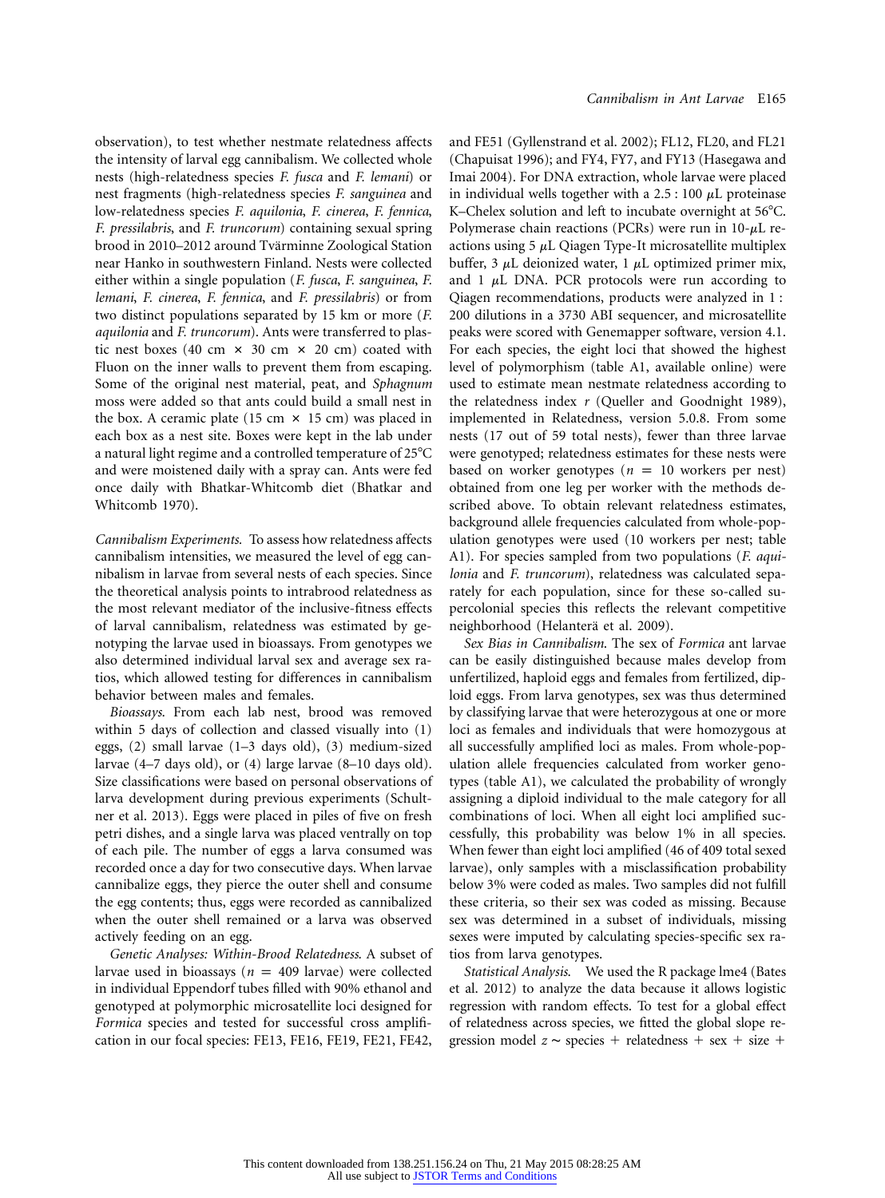observation), to test whether nestmate relatedness affects the intensity of larval egg cannibalism. We collected whole nests (high-relatedness species *F. fusca* and *F. lemani*) or nest fragments (high-relatedness species *F. sanguinea* and low-relatedness species *F. aquilonia*, *F. cinerea*, *F. fennica*, *F. pressilabris*, and *F. truncorum*) containing sexual spring brood in 2010–2012 around Tvärminne Zoological Station near Hanko in southwestern Finland. Nests were collected either within a single population (*F. fusca*, *F. sanguinea*, *F. lemani*, *F. cinerea*, *F. fennica*, and *F. pressilabris*) or from two distinct populations separated by 15 km or more (*F. aquilonia* and *F. truncorum*). Ants were transferred to plastic nest boxes (40 cm  $\times$  30 cm  $\times$  20 cm) coated with Fluon on the inner walls to prevent them from escaping. Some of the original nest material, peat, and *Sphagnum* moss were added so that ants could build a small nest in the box. A ceramic plate (15 cm  $\times$  15 cm) was placed in each box as a nest site. Boxes were kept in the lab under a natural light regime and a controlled temperature of 25°C and were moistened daily with a spray can. Ants were fed once daily with Bhatkar-Whitcomb diet (Bhatkar and Whitcomb 1970).

*Cannibalism Experiments.* To assess how relatedness affects cannibalism intensities, we measured the level of egg cannibalism in larvae from several nests of each species. Since the theoretical analysis points to intrabrood relatedness as the most relevant mediator of the inclusive-fitness effects of larval cannibalism, relatedness was estimated by genotyping the larvae used in bioassays. From genotypes we also determined individual larval sex and average sex ratios, which allowed testing for differences in cannibalism behavior between males and females.

*Bioassays*. From each lab nest, brood was removed within 5 days of collection and classed visually into (1) eggs, (2) small larvae (1–3 days old), (3) medium-sized larvae (4–7 days old), or (4) large larvae (8–10 days old). Size classifications were based on personal observations of larva development during previous experiments (Schultner et al. 2013). Eggs were placed in piles of five on fresh petri dishes, and a single larva was placed ventrally on top of each pile. The number of eggs a larva consumed was recorded once a day for two consecutive days. When larvae cannibalize eggs, they pierce the outer shell and consume the egg contents; thus, eggs were recorded as cannibalized when the outer shell remained or a larva was observed actively feeding on an egg.

*Genetic Analyses: Within-Brood Relatedness*. A subset of larvae used in bioassays ( $n = 409$  larvae) were collected in individual Eppendorf tubes filled with 90% ethanol and genotyped at polymorphic microsatellite loci designed for *Formica* species and tested for successful cross amplification in our focal species: FE13, FE16, FE19, FE21, FE42,

and FE51 (Gyllenstrand et al. 2002); FL12, FL20, and FL21 (Chapuisat 1996); and FY4, FY7, and FY13 (Hasegawa and Imai 2004). For DNA extraction, whole larvae were placed in individual wells together with a  $2.5:100 \mu L$  proteinase K–Chelex solution and left to incubate overnight at 56°C. Polymerase chain reactions (PCRs) were run in  $10-\mu$ L reactions using  $5 \mu L$  Qiagen Type-It microsatellite multiplex buffer,  $3 \mu L$  deionized water,  $1 \mu L$  optimized primer mix, and  $1 \mu L$  DNA. PCR protocols were run according to Qiagen recommendations, products were analyzed in 1 : 200 dilutions in a 3730 ABI sequencer, and microsatellite peaks were scored with Genemapper software, version 4.1. For each species, the eight loci that showed the highest level of polymorphism (table A1, available online) were used to estimate mean nestmate relatedness according to the relatedness index *r* (Queller and Goodnight 1989), implemented in Relatedness, version 5.0.8. From some nests (17 out of 59 total nests), fewer than three larvae were genotyped; relatedness estimates for these nests were based on worker genotypes ( $n = 10$  workers per nest) obtained from one leg per worker with the methods described above. To obtain relevant relatedness estimates, background allele frequencies calculated from whole-population genotypes were used (10 workers per nest; table A1). For species sampled from two populations (*F. aquilonia* and *F. truncorum*), relatedness was calculated separately for each population, since for these so-called supercolonial species this reflects the relevant competitive neighborhood (Helantera¨ et al. 2009).

*Sex Bias in Cannibalism*. The sex of *Formica* ant larvae can be easily distinguished because males develop from unfertilized, haploid eggs and females from fertilized, diploid eggs. From larva genotypes, sex was thus determined by classifying larvae that were heterozygous at one or more loci as females and individuals that were homozygous at all successfully amplified loci as males. From whole-population allele frequencies calculated from worker genotypes (table A1), we calculated the probability of wrongly assigning a diploid individual to the male category for all combinations of loci. When all eight loci amplified successfully, this probability was below 1% in all species. When fewer than eight loci amplified (46 of 409 total sexed larvae), only samples with a misclassification probability below 3% were coded as males. Two samples did not fulfill these criteria, so their sex was coded as missing. Because sex was determined in a subset of individuals, missing sexes were imputed by calculating species-specific sex ratios from larva genotypes.

*Statistical Analysis*. We used the R package lme4 (Bates et al. 2012) to analyze the data because it allows logistic regression with random effects. To test for a global effect of relatedness across species, we fitted the global slope regression model  $z \sim$  species + relatedness + sex + size +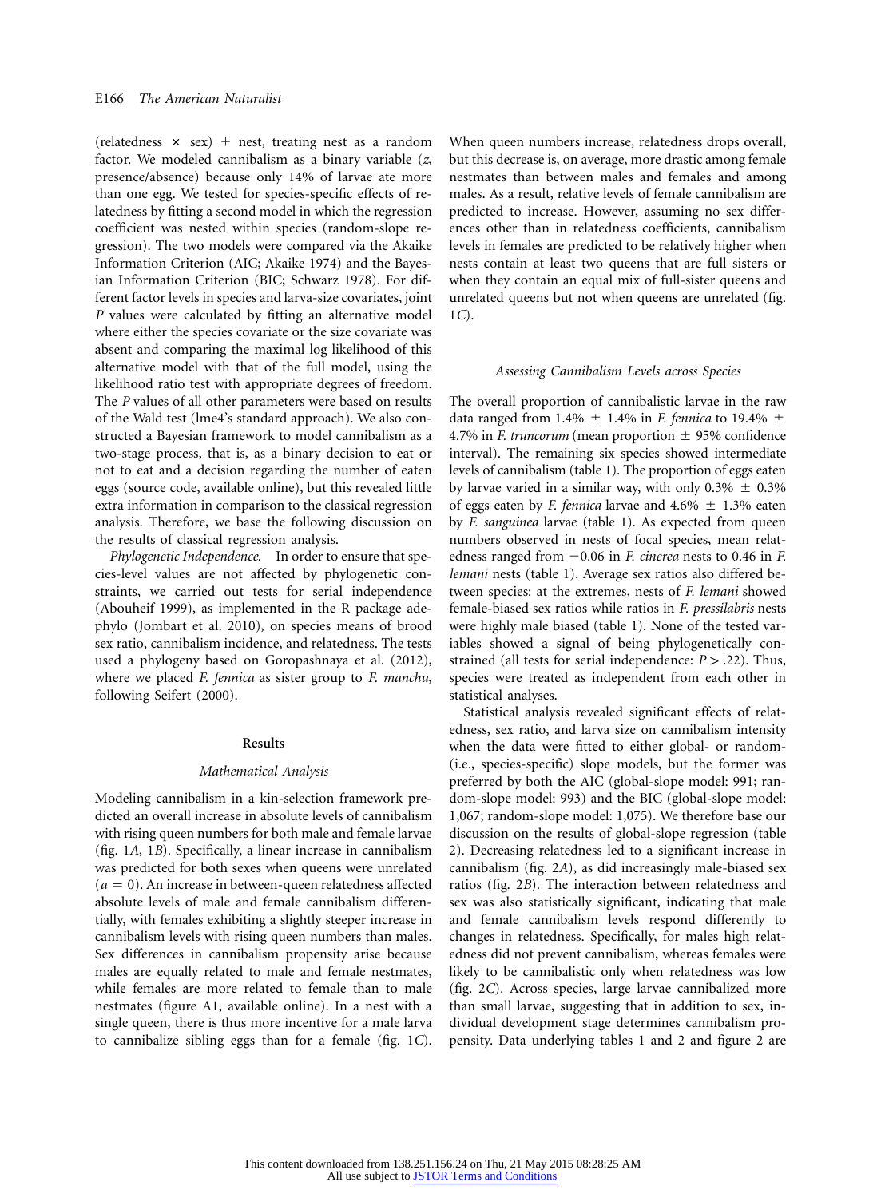$(relatedness \times sex)$  + nest, treating nest as a random factor. We modeled cannibalism as a binary variable (*z*, presence/absence) because only 14% of larvae ate more than one egg. We tested for species-specific effects of relatedness by fitting a second model in which the regression coefficient was nested within species (random-slope regression). The two models were compared via the Akaike Information Criterion (AIC; Akaike 1974) and the Bayesian Information Criterion (BIC; Schwarz 1978). For different factor levels in species and larva-size covariates, joint *P* values were calculated by fitting an alternative model where either the species covariate or the size covariate was absent and comparing the maximal log likelihood of this alternative model with that of the full model, using the likelihood ratio test with appropriate degrees of freedom. The *P* values of all other parameters were based on results of the Wald test (lme4's standard approach). We also constructed a Bayesian framework to model cannibalism as a two-stage process, that is, as a binary decision to eat or not to eat and a decision regarding the number of eaten eggs (source code, available online), but this revealed little extra information in comparison to the classical regression analysis. Therefore, we base the following discussion on the results of classical regression analysis.

*Phylogenetic Independence*. In order to ensure that species-level values are not affected by phylogenetic constraints, we carried out tests for serial independence (Abouheif 1999), as implemented in the R package adephylo (Jombart et al. 2010), on species means of brood sex ratio, cannibalism incidence, and relatedness. The tests used a phylogeny based on Goropashnaya et al. (2012), where we placed *F. fennica* as sister group to *F. manchu*, following Seifert (2000).

## **Results**

#### *Mathematical Analysis*

Modeling cannibalism in a kin-selection framework predicted an overall increase in absolute levels of cannibalism with rising queen numbers for both male and female larvae (fig. 1*A*, 1*B*). Specifically, a linear increase in cannibalism was predicted for both sexes when queens were unrelated  $(a = 0)$ . An increase in between-queen relatedness affected absolute levels of male and female cannibalism differentially, with females exhibiting a slightly steeper increase in cannibalism levels with rising queen numbers than males. Sex differences in cannibalism propensity arise because males are equally related to male and female nestmates, while females are more related to female than to male nestmates (figure A1, available online). In a nest with a single queen, there is thus more incentive for a male larva to cannibalize sibling eggs than for a female (fig. 1*C*).

When queen numbers increase, relatedness drops overall, but this decrease is, on average, more drastic among female nestmates than between males and females and among males. As a result, relative levels of female cannibalism are predicted to increase. However, assuming no sex differences other than in relatedness coefficients, cannibalism levels in females are predicted to be relatively higher when nests contain at least two queens that are full sisters or when they contain an equal mix of full-sister queens and unrelated queens but not when queens are unrelated (fig. 1*C*).

#### *Assessing Cannibalism Levels across Species*

The overall proportion of cannibalistic larvae in the raw data ranged from 1.4%  $\pm$  1.4% in *F. fennica* to 19.4%  $\pm$ 4.7% in *F. truncorum* (mean proportion  $\pm$  95% confidence interval). The remaining six species showed intermediate levels of cannibalism (table 1). The proportion of eggs eaten by larvae varied in a similar way, with only  $0.3\% \pm 0.3\%$ of eggs eaten by *F. fennica* larvae and  $4.6\% \pm 1.3\%$  eaten by *F. sanguinea* larvae (table 1). As expected from queen numbers observed in nests of focal species, mean relatedness ranged from  $-0.06$  in *F. cinerea* nests to 0.46 in *F. lemani* nests (table 1). Average sex ratios also differed between species: at the extremes, nests of *F. lemani* showed female-biased sex ratios while ratios in *F. pressilabris* nests were highly male biased (table 1). None of the tested variables showed a signal of being phylogenetically constrained (all tests for serial independence:  $P > .22$ ). Thus, species were treated as independent from each other in statistical analyses.

Statistical analysis revealed significant effects of relatedness, sex ratio, and larva size on cannibalism intensity when the data were fitted to either global- or random- (i.e., species-specific) slope models, but the former was preferred by both the AIC (global-slope model: 991; random-slope model: 993) and the BIC (global-slope model: 1,067; random-slope model: 1,075). We therefore base our discussion on the results of global-slope regression (table 2). Decreasing relatedness led to a significant increase in cannibalism (fig. 2*A*), as did increasingly male-biased sex ratios (fig. 2*B*). The interaction between relatedness and sex was also statistically significant, indicating that male and female cannibalism levels respond differently to changes in relatedness. Specifically, for males high relatedness did not prevent cannibalism, whereas females were likely to be cannibalistic only when relatedness was low (fig. 2*C*). Across species, large larvae cannibalized more than small larvae, suggesting that in addition to sex, individual development stage determines cannibalism propensity. Data underlying tables 1 and 2 and figure 2 are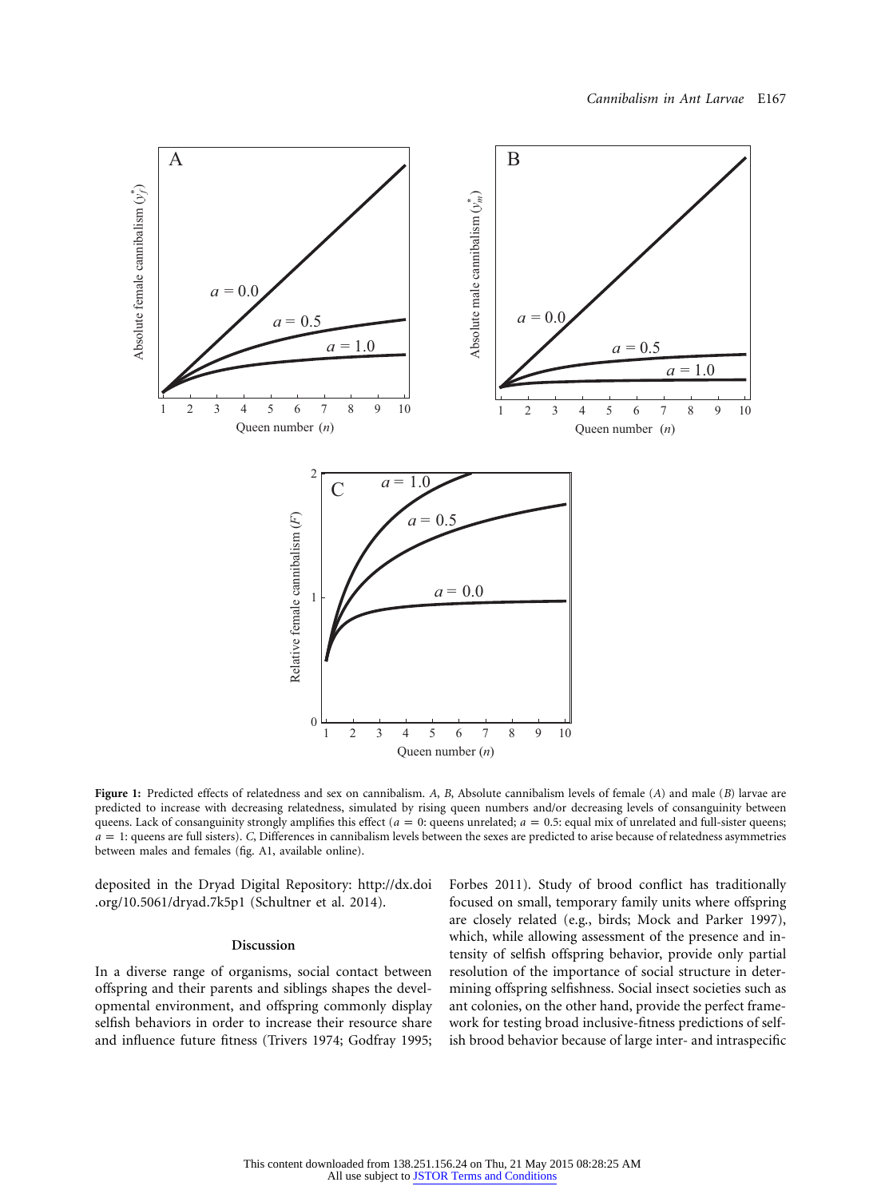

**Figure 1:** Predicted effects of relatedness and sex on cannibalism. *A*, *B*, Absolute cannibalism levels of female (*A*) and male (*B*) larvae are predicted to increase with decreasing relatedness, simulated by rising queen numbers and/or decreasing levels of consanguinity between queens. Lack of consanguinity strongly amplifies this effect ( $a = 0$ : queens unrelated;  $a = 0.5$ : equal mix of unrelated and full-sister queens;  $a = 1$ : queens are full sisters). *C*, Differences in cannibalism levels between the sexes are predicted to arise because of relatedness asymmetries between males and females (fig. A1, available online).

deposited in the Dryad Digital Repository: [http://dx.doi](http://dx.doi.org/10.5061/dryad.7k5p1) [.org/10.5061/dryad.7k5p1](http://dx.doi.org/10.5061/dryad.7k5p1) (Schultner et al. 2014).

# **Discussion**

In a diverse range of organisms, social contact between offspring and their parents and siblings shapes the developmental environment, and offspring commonly display selfish behaviors in order to increase their resource share and influence future fitness (Trivers 1974; Godfray 1995; Forbes 2011). Study of brood conflict has traditionally focused on small, temporary family units where offspring are closely related (e.g., birds; Mock and Parker 1997), which, while allowing assessment of the presence and intensity of selfish offspring behavior, provide only partial resolution of the importance of social structure in determining offspring selfishness. Social insect societies such as ant colonies, on the other hand, provide the perfect framework for testing broad inclusive-fitness predictions of selfish brood behavior because of large inter- and intraspecific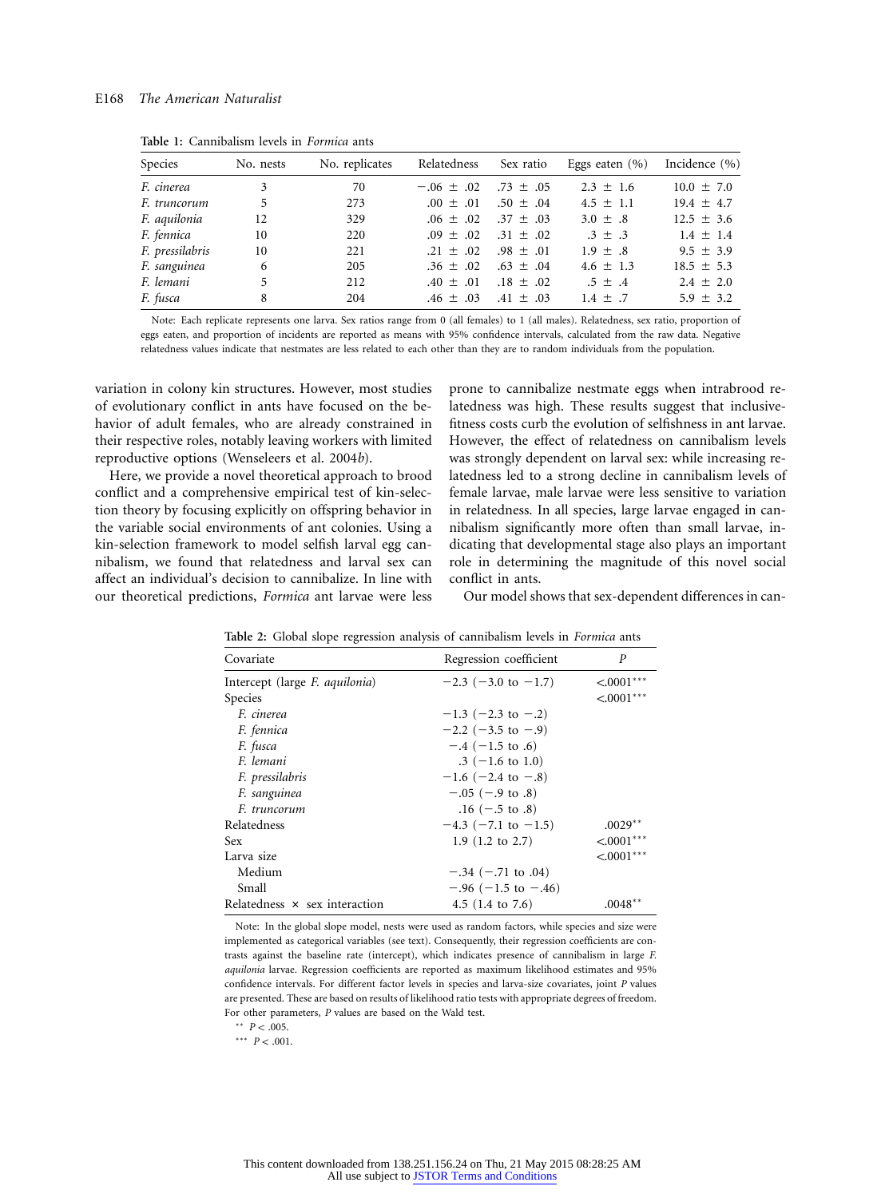| Species         | No. nests | No. replicates | Relatedness    | Sex ratio     | Eggs eaten $(\% )$ | Incidence $(\% )$ |
|-----------------|-----------|----------------|----------------|---------------|--------------------|-------------------|
| F. cinerea      | 3         | 70             | $-.06 \pm .02$ | $.73 \pm .05$ | $2.3 \pm 1.6$      | $10.0 \pm 7.0$    |
| F. truncorum    | 5         | 273            | $.00 \pm .01$  | $.50 \pm .04$ | $4.5 \pm 1.1$      | $19.4 \pm 4.7$    |
| F. aquilonia    | 12        | 329            | $.06 \pm .02$  | $.37 \pm .03$ | $3.0 \pm .8$       | $12.5 \pm 3.6$    |
| F. fennica      | 10        | 220            | $.09 \pm .02$  | $.31 \pm .02$ | $.3 \pm .3$        | $1.4 \pm 1.4$     |
| F. pressilabris | 10        | 221            | $.21 \pm .02$  | $.98 \pm .01$ | $1.9 \pm .8$       | $9.5 \pm 3.9$     |
| F. sanguinea    | 6         | 205            | $.36 \pm .02$  | $.63 \pm .04$ | $4.6 \pm 1.3$      | $18.5 \pm 5.3$    |
| F. lemani       | 5         | 212            | $.40 \pm .01$  | $.18 \pm .02$ | $.5 \pm .4$        | $2.4 \pm 2.0$     |
| F. fusca        | 8         | 204            | $.46 \pm .03$  | $.41 \pm .03$ | $1.4 \pm .7$       | $5.9 \pm 3.2$     |

**Table 1:** Cannibalism levels in *Formica* ants

Note: Each replicate represents one larva. Sex ratios range from 0 (all females) to 1 (all males). Relatedness, sex ratio, proportion of eggs eaten, and proportion of incidents are reported as means with 95% confidence intervals, calculated from the raw data. Negative relatedness values indicate that nestmates are less related to each other than they are to random individuals from the population.

variation in colony kin structures. However, most studies of evolutionary conflict in ants have focused on the behavior of adult females, who are already constrained in their respective roles, notably leaving workers with limited reproductive options (Wenseleers et al. 2004*b*).

Here, we provide a novel theoretical approach to brood conflict and a comprehensive empirical test of kin-selection theory by focusing explicitly on offspring behavior in the variable social environments of ant colonies. Using a kin-selection framework to model selfish larval egg cannibalism, we found that relatedness and larval sex can affect an individual's decision to cannibalize. In line with our theoretical predictions, *Formica* ant larvae were less prone to cannibalize nestmate eggs when intrabrood relatedness was high. These results suggest that inclusivefitness costs curb the evolution of selfishness in ant larvae. However, the effect of relatedness on cannibalism levels was strongly dependent on larval sex: while increasing relatedness led to a strong decline in cannibalism levels of female larvae, male larvae were less sensitive to variation in relatedness. In all species, large larvae engaged in cannibalism significantly more often than small larvae, indicating that developmental stage also plays an important role in determining the magnitude of this novel social conflict in ants.

Our model shows that sex-dependent differences in can-

| Covariate                            | Regression coefficient         | P               |
|--------------------------------------|--------------------------------|-----------------|
| Intercept (large F. aquilonia)       | $-2.3$ ( $-3.0$ to $-1.7$ )    | $\leq 0.001***$ |
| Species                              |                                | $< 0.001$ ***   |
| <i>F.</i> cinerea                    | $-1.3$ (-2.3 to -.2)           |                 |
| F. fennica                           | $-2.2$ ( $-3.5$ to $-.9$ )     |                 |
| F. fusca                             | $-.4 (-1.5 \text{ to } .6)$    |                 |
| F. lemani                            | .3 $(-1.6 \text{ to } 1.0)$    |                 |
| F. pressilabris                      | $-1.6$ (-2.4 to -.8)           |                 |
| F. sanguinea                         | $-.05$ (-.9 to .8)             |                 |
| <i>E.</i> truncorum                  | $.16$ (-.5 to .8)              |                 |
| Relatedness                          | $-4.3$ (-7.1 to -1.5)          | $.0029**$       |
| Sex                                  | 1.9 $(1.2 \text{ to } 2.7)$    | $< 0.001$ ***   |
| Larva size                           |                                | $< 0001***$     |
| Medium                               | $-.34$ (-.71 to .04)           |                 |
| Small                                | $-.96 (-1.5 \text{ to } -.46)$ |                 |
| Relatedness $\times$ sex interaction | 4.5 $(1.4 \text{ to } 7.6)$    | $.0048**$       |

**Table 2:** Global slope regression analysis of cannibalism levels in *Formica* ants

Note: In the global slope model, nests were used as random factors, while species and size were implemented as categorical variables (see text). Consequently, their regression coefficients are contrasts against the baseline rate (intercept), which indicates presence of cannibalism in large *F. aquilonia* larvae. Regression coefficients are reported as maximum likelihood estimates and 95% confidence intervals. For different factor levels in species and larva-size covariates, joint *P* values are presented. These are based on results of likelihood ratio tests with appropriate degrees of freedom. For other parameters, *P* values are based on the Wald test.

 $*$  *P* < .005.

 $***$  *P* < .001.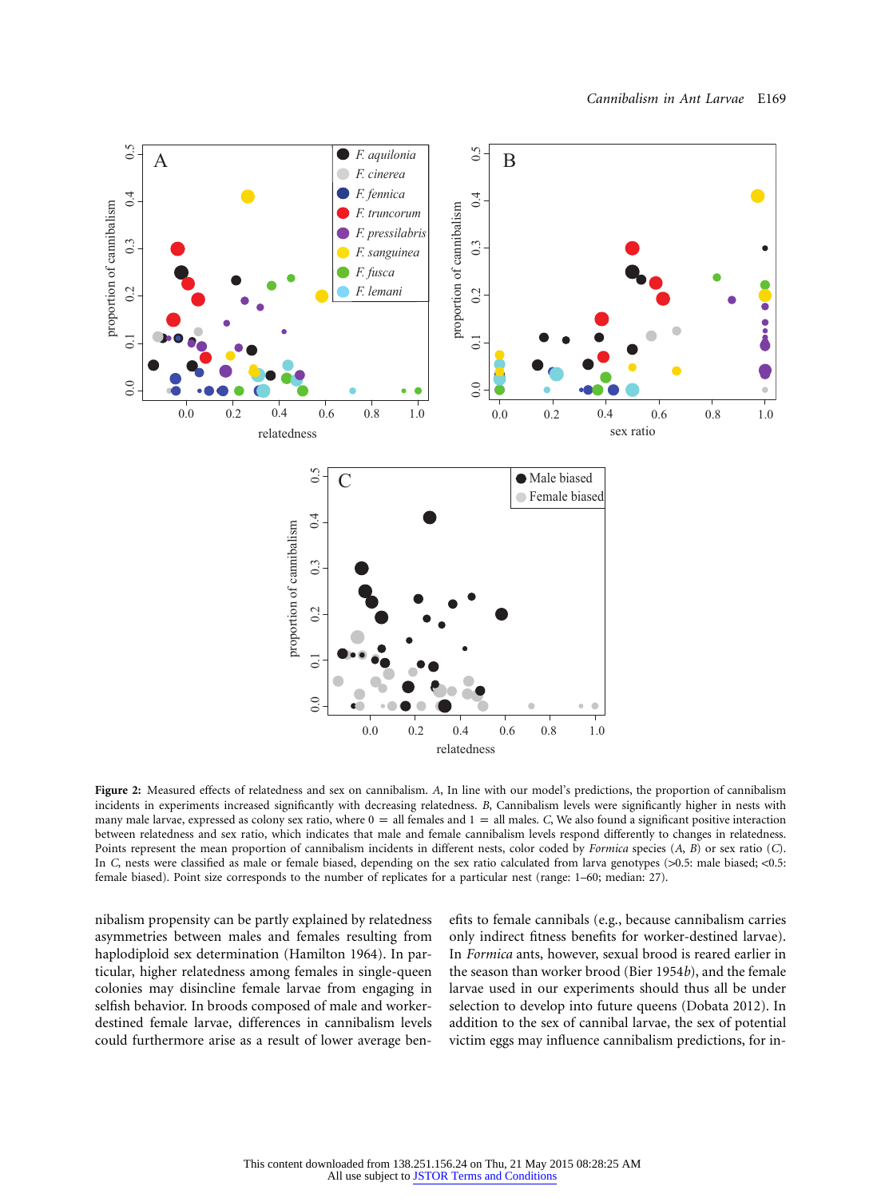

**Figure 2:** Measured effects of relatedness and sex on cannibalism. *A*, In line with our model's predictions, the proportion of cannibalism incidents in experiments increased significantly with decreasing relatedness. *B*, Cannibalism levels were significantly higher in nests with many male larvae, expressed as colony sex ratio, where  $0 =$  all females and  $1 =$  all males. *C*, We also found a significant positive interaction between relatedness and sex ratio, which indicates that male and female cannibalism levels respond differently to changes in relatedness. Points represent the mean proportion of cannibalism incidents in different nests, color coded by *Formica* species (*A*, *B*) or sex ratio (*C*). In *C*, nests were classified as male or female biased, depending on the sex ratio calculated from larva genotypes (>0.5: male biased; <0.5: female biased). Point size corresponds to the number of replicates for a particular nest (range: 1–60; median: 27).

nibalism propensity can be partly explained by relatedness asymmetries between males and females resulting from haplodiploid sex determination (Hamilton 1964). In particular, higher relatedness among females in single-queen colonies may disincline female larvae from engaging in selfish behavior. In broods composed of male and workerdestined female larvae, differences in cannibalism levels could furthermore arise as a result of lower average benefits to female cannibals (e.g., because cannibalism carries only indirect fitness benefits for worker-destined larvae). In *Formica* ants, however, sexual brood is reared earlier in the season than worker brood (Bier 1954*b*), and the female larvae used in our experiments should thus all be under selection to develop into future queens (Dobata 2012). In addition to the sex of cannibal larvae, the sex of potential victim eggs may influence cannibalism predictions, for in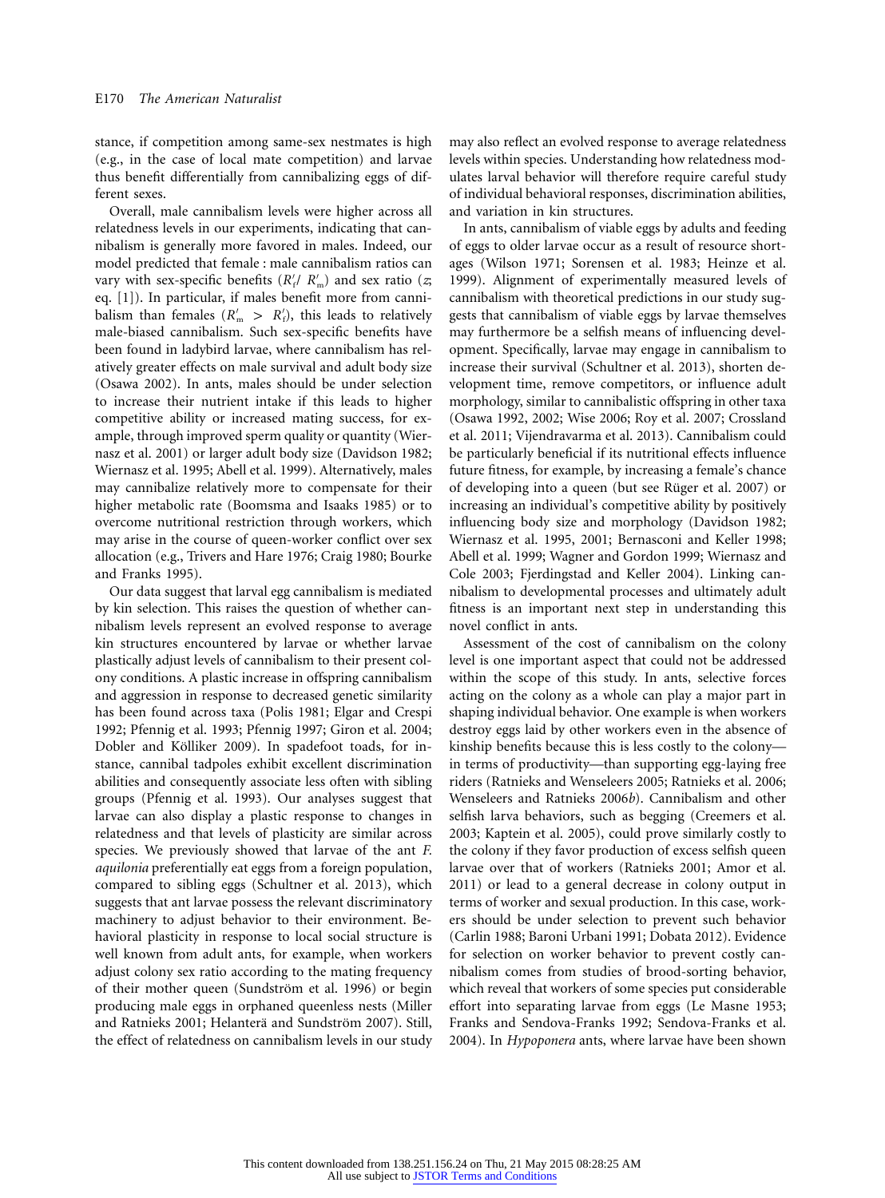stance, if competition among same-sex nestmates is high (e.g., in the case of local mate competition) and larvae thus benefit differentially from cannibalizing eggs of different sexes.

Overall, male cannibalism levels were higher across all relatedness levels in our experiments, indicating that cannibalism is generally more favored in males. Indeed, our model predicted that female : male cannibalism ratios can vary with sex-specific benefits  $(R'_f/R'_m)$  and sex ratio (*z*; eq. [1]). In particular, if males benefit more from cannibalism than females  $(R'_m > R'_f)$ , this leads to relatively male-biased cannibalism. Such sex-specific benefits have been found in ladybird larvae, where cannibalism has relatively greater effects on male survival and adult body size (Osawa 2002). In ants, males should be under selection to increase their nutrient intake if this leads to higher competitive ability or increased mating success, for example, through improved sperm quality or quantity (Wiernasz et al. 2001) or larger adult body size (Davidson 1982; Wiernasz et al. 1995; Abell et al. 1999). Alternatively, males may cannibalize relatively more to compensate for their higher metabolic rate (Boomsma and Isaaks 1985) or to overcome nutritional restriction through workers, which may arise in the course of queen-worker conflict over sex allocation (e.g., Trivers and Hare 1976; Craig 1980; Bourke and Franks 1995).

Our data suggest that larval egg cannibalism is mediated by kin selection. This raises the question of whether cannibalism levels represent an evolved response to average kin structures encountered by larvae or whether larvae plastically adjust levels of cannibalism to their present colony conditions. A plastic increase in offspring cannibalism and aggression in response to decreased genetic similarity has been found across taxa (Polis 1981; Elgar and Crespi 1992; Pfennig et al. 1993; Pfennig 1997; Giron et al. 2004; Dobler and Kölliker 2009). In spadefoot toads, for instance, cannibal tadpoles exhibit excellent discrimination abilities and consequently associate less often with sibling groups (Pfennig et al. 1993). Our analyses suggest that larvae can also display a plastic response to changes in relatedness and that levels of plasticity are similar across species. We previously showed that larvae of the ant *F. aquilonia* preferentially eat eggs from a foreign population, compared to sibling eggs (Schultner et al. 2013), which suggests that ant larvae possess the relevant discriminatory machinery to adjust behavior to their environment. Behavioral plasticity in response to local social structure is well known from adult ants, for example, when workers adjust colony sex ratio according to the mating frequency of their mother queen (Sundström et al. 1996) or begin producing male eggs in orphaned queenless nests (Miller and Ratnieks 2001; Helanterä and Sundström 2007). Still, the effect of relatedness on cannibalism levels in our study

may also reflect an evolved response to average relatedness levels within species. Understanding how relatedness modulates larval behavior will therefore require careful study of individual behavioral responses, discrimination abilities, and variation in kin structures.

In ants, cannibalism of viable eggs by adults and feeding of eggs to older larvae occur as a result of resource shortages (Wilson 1971; Sorensen et al. 1983; Heinze et al. 1999). Alignment of experimentally measured levels of cannibalism with theoretical predictions in our study suggests that cannibalism of viable eggs by larvae themselves may furthermore be a selfish means of influencing development. Specifically, larvae may engage in cannibalism to increase their survival (Schultner et al. 2013), shorten development time, remove competitors, or influence adult morphology, similar to cannibalistic offspring in other taxa (Osawa 1992, 2002; Wise 2006; Roy et al. 2007; Crossland et al. 2011; Vijendravarma et al. 2013). Cannibalism could be particularly beneficial if its nutritional effects influence future fitness, for example, by increasing a female's chance of developing into a queen (but see Rüger et al. 2007) or increasing an individual's competitive ability by positively influencing body size and morphology (Davidson 1982; Wiernasz et al. 1995, 2001; Bernasconi and Keller 1998; Abell et al. 1999; Wagner and Gordon 1999; Wiernasz and Cole 2003; Fjerdingstad and Keller 2004). Linking cannibalism to developmental processes and ultimately adult fitness is an important next step in understanding this novel conflict in ants.

Assessment of the cost of cannibalism on the colony level is one important aspect that could not be addressed within the scope of this study. In ants, selective forces acting on the colony as a whole can play a major part in shaping individual behavior. One example is when workers destroy eggs laid by other workers even in the absence of kinship benefits because this is less costly to the colony in terms of productivity—than supporting egg-laying free riders (Ratnieks and Wenseleers 2005; Ratnieks et al. 2006; Wenseleers and Ratnieks 2006*b*). Cannibalism and other selfish larva behaviors, such as begging (Creemers et al. 2003; Kaptein et al. 2005), could prove similarly costly to the colony if they favor production of excess selfish queen larvae over that of workers (Ratnieks 2001; Amor et al. 2011) or lead to a general decrease in colony output in terms of worker and sexual production. In this case, workers should be under selection to prevent such behavior (Carlin 1988; Baroni Urbani 1991; Dobata 2012). Evidence for selection on worker behavior to prevent costly cannibalism comes from studies of brood-sorting behavior, which reveal that workers of some species put considerable effort into separating larvae from eggs (Le Masne 1953; Franks and Sendova-Franks 1992; Sendova-Franks et al. 2004). In *Hypoponera* ants, where larvae have been shown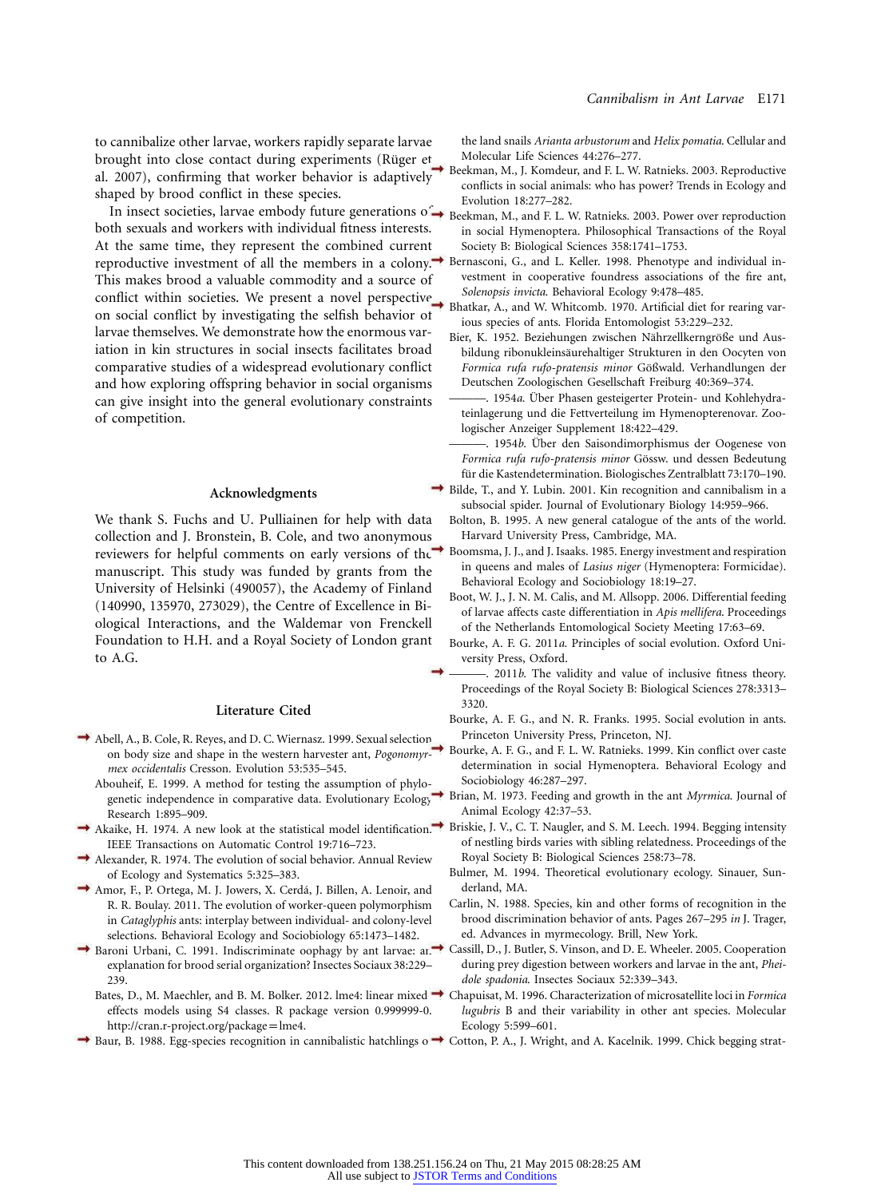to cannibalize other larvae, workers rapidly separate larvae brought into close contact during experiments (Rüger et al. 2007), confirming that worker behavior is adaptively shaped by brood conflict in these species.

In insect societies, larvae embody future generations  $\circ \rightarrow$  Beekman, M., and F. L. V both sexuals and workers with individual fitness interests. At the same time, they represent the combined current reproductive investment of all the members in a colony. Bernasconi, G., and L. Keller. 1998. Phenotype and individual in-This makes brood a valuable commodity and a source of conflict within societies. We present a novel perspective on social conflict by investigating the selfish behavior of larvae themselves. We demonstrate how the enormous variation in kin structures in social insects facilitates broad comparative studies of a widespread evolutionary conflict and how exploring offspring behavior in social organisms can give insight into the general evolutionary constraints of competition.

# **Acknowledgments**

We thank S. Fuchs and U. Pulliainen for help with data collection and J. Bronstein, B. Cole, and two anonymous reviewers for helpful comments on early versions of the Boomsma, J. J., and J. Isaaks. 1985. Energy investment and respiration manuscript. This study was funded by grants from the University of Helsinki (490057), the Academy of Finland (140990, 135970, 273029), the Centre of Excellence in Biological Interactions, and the Waldemar von Frenckell Foundation to H.H. and a Royal Society of London grant to A.G.

#### **Literature Cited**

- Abell, A., B. Cole, R. Reyes, and D. C. Wiernasz. 1999. Sexual selection on body size and shape in the western harvester ant, *Pogonomyrmex occidentalis* Cresson. Evolution 53:535–545.
	- Abouheif, E. 1999. A method for testing the assumption of phylogenetic independence in comparative data. Evolutionary Ecology Research 1:895–909.
- Akaike, H. 1974. A new look at the statistical model identification. IEEE Transactions on Automatic Control 19:716–723.
- Alexander, R. 1974. The evolution of social behavior. Annual Review of Ecology and Systematics 5:325–383.
- Amor, F., P. Ortega, M. J. Jowers, X. Cerda´, J. Billen, A. Lenoir, and R. R. Boulay. 2011. The evolution of worker-queen polymorphism in *Cataglyphis* ants: interplay between individual- and colony-level selections. Behavioral Ecology and Sociobiology 65:1473–1482.
- $\rightarrow$  Baroni Urbani, C. 1991. Indiscriminate oophagy by ant larvae: and explanation for brood serial organization? Insectes Sociaux 38:229– 239.
	- effects models using S4 classes. R package version 0.999999-0. [http://cran.r-project.org/package](http://cran.r-project.org/package=lme4)=lme4.

the land snails *Arianta arbustorum* and *Helix pomatia*. Cellular and Molecular Life Sciences 44:276–277.

- Beekman, M., J. Komdeur, and F. L. W. Ratnieks. 2003. Reproductive conflicts in social animals: who has power? Trends in Ecology and Evolution 18:277-282.
	- Beekman, M., and F. L. W. Ratnieks. 2003. Power over reproduction in social Hymenoptera. Philosophical Transactions of the Royal Society B: Biological Sciences 358:1741–1753.
	- vestment in cooperative foundress associations of the fire ant, *Solenopsis invicta*. Behavioral Ecology 9:478–485.
	- Bhatkar, A., and W. Whitcomb. 1970. Artificial diet for rearing various species of ants. Florida Entomologist 53:229–232.
	- Bier, K. 1952. Beziehungen zwischen Nährzellkerngröße und Ausbildung ribonukleinsäurehaltiger Strukturen in den Oocyten von Formica rufa rufo-pratensis minor Gößwald. Verhandlungen der Deutschen Zoologischen Gesellschaft Freiburg 40:369–374.
	- ———. 1954*a*. U¨ ber Phasen gesteigerter Protein- und Kohlehydrateinlagerung und die Fettverteilung im Hymenopterenovar. Zoologischer Anzeiger Supplement 18:422–429.
	- ———. 1954*b*. U¨ ber den Saisondimorphismus der Oogenese von Formica rufa rufo-pratensis minor Gössw. und dessen Bedeutung für die Kastendetermination. Biologisches Zentralblatt 73:170-190.
- Bilde, T., and Y. Lubin. 2001. Kin recognition and cannibalism in a subsocial spider. Journal of Evolutionary Biology 14:959–966.
	- Bolton, B. 1995. A new general catalogue of the ants of the world. Harvard University Press, Cambridge, MA.
	- in queens and males of *Lasius niger* (Hymenoptera: Formicidae). Behavioral Ecology and Sociobiology 18:19–27.
	- Boot, W. J., J. N. M. Calis, and M. Allsopp. 2006. Differential feeding of larvae affects caste differentiation in *Apis mellifera*. Proceedings of the Netherlands Entomological Society Meeting 17:63–69.
	- Bourke, A. F. G. 2011*a*. Principles of social evolution. Oxford University Press, Oxford.
	- . 2011*b*. The validity and value of inclusive fitness theory. Proceedings of the Royal Society B: Biological Sciences 278:3313– 3320.
	- Bourke, A. F. G., and N. R. Franks. 1995. Social evolution in ants. Princeton University Press, Princeton, NJ.
	- Bourke, A. F. G., and F. L. W. Ratnieks. 1999. Kin conflict over caste determination in social Hymenoptera. Behavioral Ecology and Sociobiology 46:287–297.
- Brian, M. 1973. Feeding and growth in the ant *Myrmica*. Journal of Animal Ecology 42:37–53.
- Briskie, J. V., C. T. Naugler, and S. M. Leech. 1994. Begging intensity of nestling birds varies with sibling relatedness. Proceedings of the Royal Society B: Biological Sciences 258:73–78.
- Bulmer, M. 1994. Theoretical evolutionary ecology. Sinauer, Sunderland, MA.
- Carlin, N. 1988. Species, kin and other forms of recognition in the brood discrimination behavior of ants. Pages 267–295 *in* J. Trager, ed. Advances in myrmecology. Brill, New York.
- Cassill, D., J. Butler, S. Vinson, and D. E. Wheeler. 2005. Cooperation during prey digestion between workers and larvae in the ant, *Pheidole spadonia*. Insectes Sociaux 52:339–343.
- Bates, D., M. Maechler, and B. M. Bolker. 2012. lme4: linear mixed-Chapuisat, M. 1996. Characterization of microsatellite loci in *Formica lugubris* B and their variability in other ant species. Molecular Ecology 5:599–601.
- Baur, B. 1988. Egg-species recognition in cannibalistic hatchlings o  $\rightarrow$  Cotton, P. A., J. Wright, and A. Kacelnik. 1999. Chick begging strat-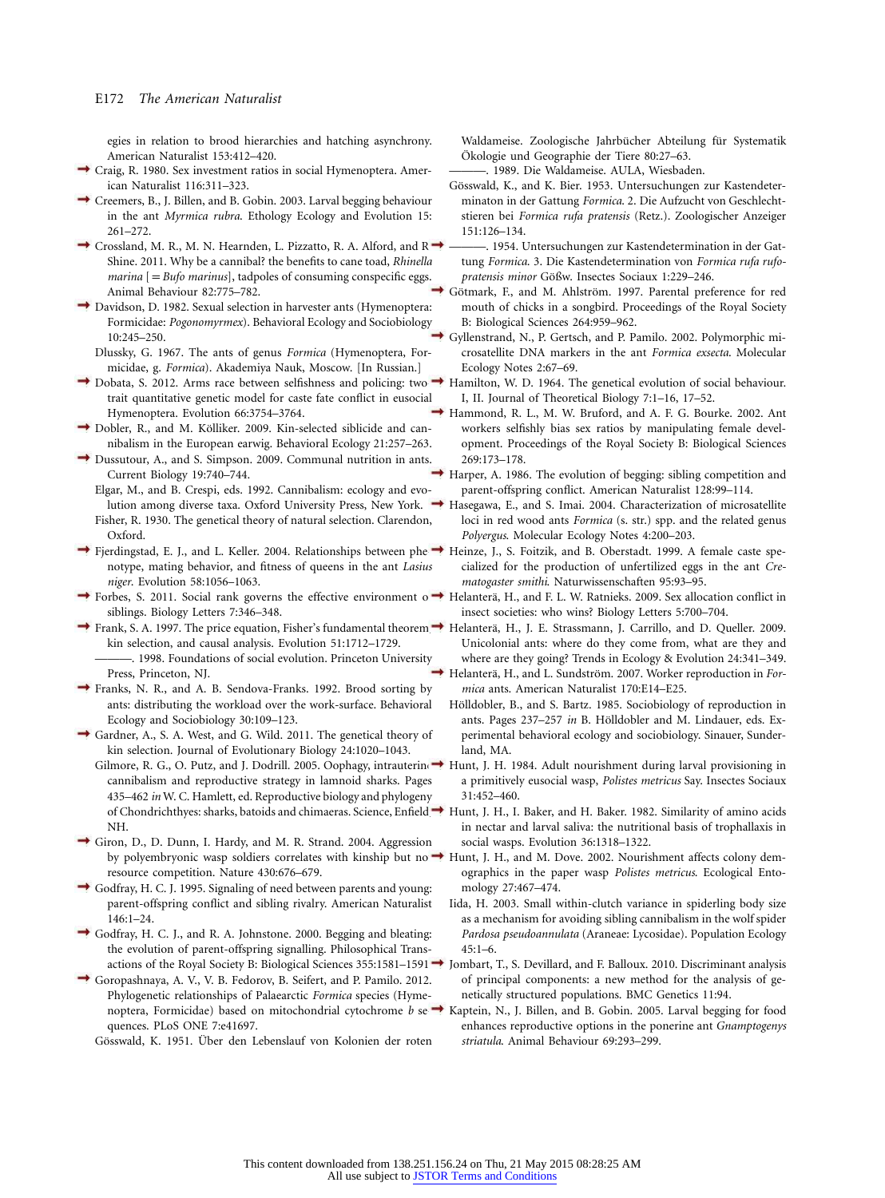egies in relation to brood hierarchies and hatching asynchrony. American Naturalist 153:412–420.

- Craig, R. 1980. Sex investment ratios in social Hymenoptera. American Naturalist 116:311–323.
- Creemers, B., J. Billen, and B. Gobin. 2003. Larval begging behaviour in the ant *Myrmica rubra*. Ethology Ecology and Evolution 15: 261–272.
- Crossland, M. R., M. N. Hearnden, L. Pizzatto, R. A. Alford, and  $R \rightarrow$ Shine. 2011. Why be a cannibal? the benefits to cane toad, *Rhinella*  $marina$   $[$  =  $Bufo$   $marinus$  $]$ , tadpoles of consuming conspecific eggs. Animal Behaviour 82:775–782.
- Davidson, D. 1982. Sexual selection in harvester ants (Hymenoptera: Formicidae: *Pogonomyrmex*). Behavioral Ecology and Sociobiology 10:245–250.
	- Dlussky, G. 1967. The ants of genus *Formica* (Hymenoptera, Formicidae, g. *Formica*). Akademiya Nauk, Moscow. [In Russian.]
- $\rightarrow$  Dobata, S. 2012. Arms race between selfishness and policing: two $\rightarrow$ trait quantitative genetic model for caste fate conflict in eusocial Hymenoptera. Evolution 66:3754–3764.
- Dobler, R., and M. Kölliker. 2009. Kin-selected siblicide and cannibalism in the European earwig. Behavioral Ecology 21:257–263.
- Dussutour, A., and S. Simpson. 2009. Communal nutrition in ants. Current Biology 19:740–744.
	- Elgar, M., and B. Crespi, eds. 1992. Cannibalism: ecology and evo-Fisher, R. 1930. The genetical theory of natural selection. Clarendon, Oxford.
- Fjerdingstad, E. J., and L. Keller. 2004. Relationships between phe→ Heinze, J., S. Foitzik, and B. Oberstadt. 1999. A female caste spenotype, mating behavior, and fitness of queens in the ant *Lasius niger*. Evolution 58:1056–1063.
- Forbes, S. 2011. Social rank governs the effective environment o→ Helanterä, H., and F. L. W. Ratnieks. 2009. Sex allocation conflict in siblings. Biology Letters 7:346–348.
- Frank, S. A. 1997. The price equation, Fisher's fundamental theorem, Helantera¨, H., J. E. Strassmann, J. Carrillo, and D. Queller. 2009. kin selection, and causal analysis. Evolution 51:1712–1729. ———. 1998. Foundations of social evolution. Princeton University Press, Princeton, NJ.
- Franks, N. R., and A. B. Sendova-Franks. 1992. Brood sorting by ants: distributing the workload over the work-surface. Behavioral Ecology and Sociobiology 30:109–123.
- Gardner, A., S. A. West, and G. Wild. 2011. The genetical theory of kin selection. Journal of Evolutionary Biology 24:1020–1043.
- Gilmore, R. G., O. Putz, and J. Dodrill. 2005. Oophagy, intrauterine Hunt, J. H. 1984. Adult nourishment during larval provisioning in cannibalism and reproductive strategy in lamnoid sharks. Pages 435–462 *in* W. C. Hamlett, ed. Reproductive biology and phylogeny NH.
- Giron, D., D. Dunn, I. Hardy, and M. R. Strand. 2004. Aggression resource competition. Nature 430:676–679.
- Godfray, H. C. J. 1995. Signaling of need between parents and young: parent-offspring conflict and sibling rivalry. American Naturalist 146:1–24.
- Godfray, H. C. J., and R. A. Johnstone. 2000. Begging and bleating: the evolution of parent-offspring signalling. Philosophical Transactions of the Royal Society B: Biological Sciences 355:1581–1591.
- Goropashnaya, A. V., V. B. Fedorov, B. Seifert, and P. Pamilo. 2012. Phylogenetic relationships of Palaearctic *Formica* species (Hymequences. PLoS ONE 7:e41697.
	- Gösswald, K. 1951. Über den Lebenslauf von Kolonien der roten

Waldameise. Zoologische Jahrbücher Abteilung für Systematik Ökologie und Geographie der Tiere 80:27–63.

- . 1989. Die Waldameise. AULA, Wiesbaden.
- Gösswald, K., and K. Bier. 1953. Untersuchungen zur Kastendeterminaton in der Gattung *Formica*. 2. Die Aufzucht von Geschlechtstieren bei *Formica rufa pratensis* (Retz.). Zoologischer Anzeiger 151:126–134.
- -. 1954. Untersuchungen zur Kastendetermination in der Gattung *Formica*. 3. Die Kastendetermination von *Formica rufa rufopratensis minor* Gößw. Insectes Sociaux 1:229-246.
- Götmark, F., and M. Ahlström. 1997. Parental preference for red mouth of chicks in a songbird. Proceedings of the Royal Society B: Biological Sciences 264:959–962.
- Gyllenstrand, N., P. Gertsch, and P. Pamilo. 2002. Polymorphic microsatellite DNA markers in the ant *Formica exsecta*. Molecular Ecology Notes 2:67–69.
- Hamilton, W. D. 1964. The genetical evolution of social behaviour. I, II. Journal of Theoretical Biology 7:1–16, 17–52.
- Hammond, R. L., M. W. Bruford, and A. F. G. Bourke. 2002. Ant workers selfishly bias sex ratios by manipulating female development. Proceedings of the Royal Society B: Biological Sciences 269:173–178.
- Harper, A. 1986. The evolution of begging: sibling competition and parent-offspring conflict. American Naturalist 128:99–114.
- lution among diverse taxa. Oxford University Press, New York. Hasegawa, E., and S. Imai. 2004. Characterization of microsatellite loci in red wood ants *Formica* (s. str.) spp. and the related genus *Polyergus*. Molecular Ecology Notes 4:200–203.
	- cialized for the production of unfertilized eggs in the ant *Crematogaster smithi*. Naturwissenschaften 95:93–95.
	- insect societies: who wins? Biology Letters 5:700–704.
	- Unicolonial ants: where do they come from, what are they and where are they going? Trends in Ecology & Evolution 24:341–349.
	- → Helanterä, H., and L. Sundström. 2007. Worker reproduction in *Formica* ants. American Naturalist 170:E14–E25.
		- Hölldobler, B., and S. Bartz. 1985. Sociobiology of reproduction in ants. Pages 237–257 *in* B. Hölldobler and M. Lindauer, eds. Experimental behavioral ecology and sociobiology. Sinauer, Sunderland, MA.
		- a primitively eusocial wasp, *Polistes metricus* Say. Insectes Sociaux 31:452–460.
- of Chondrichthyes: sharks, batoids and chimaeras. Science, Enfield, Hunt, J. H., I. Baker, and H. Baker. 1982. Similarity of amino acids in nectar and larval saliva: the nutritional basis of trophallaxis in social wasps. Evolution 36:1318–1322.
- by polyembryonic wasp soldiers correlates with kinship but no  $\rightarrow$  Hunt, J. H., and M. Dove. 2002. Nourishment affects colony demographics in the paper wasp *Polistes metricus*. Ecological Entomology 27:467–474.
	- Iida, H. 2003. Small within-clutch variance in spiderling body size as a mechanism for avoiding sibling cannibalism in the wolf spider *Pardosa pseudoannulata* (Araneae: Lycosidae). Population Ecology 45:1–6.
	- Jombart, T., S. Devillard, and F. Balloux. 2010. Discriminant analysis of principal components: a new method for the analysis of genetically structured populations. BMC Genetics 11:94.
- noptera, Formicidae) based on mitochondrial cytochrome *b* se → Kaptein, N., J. Billen, and B. Gobin. 2005. Larval begging for food enhances reproductive options in the ponerine ant *Gnamptogenys striatula*. Animal Behaviour 69:293–299.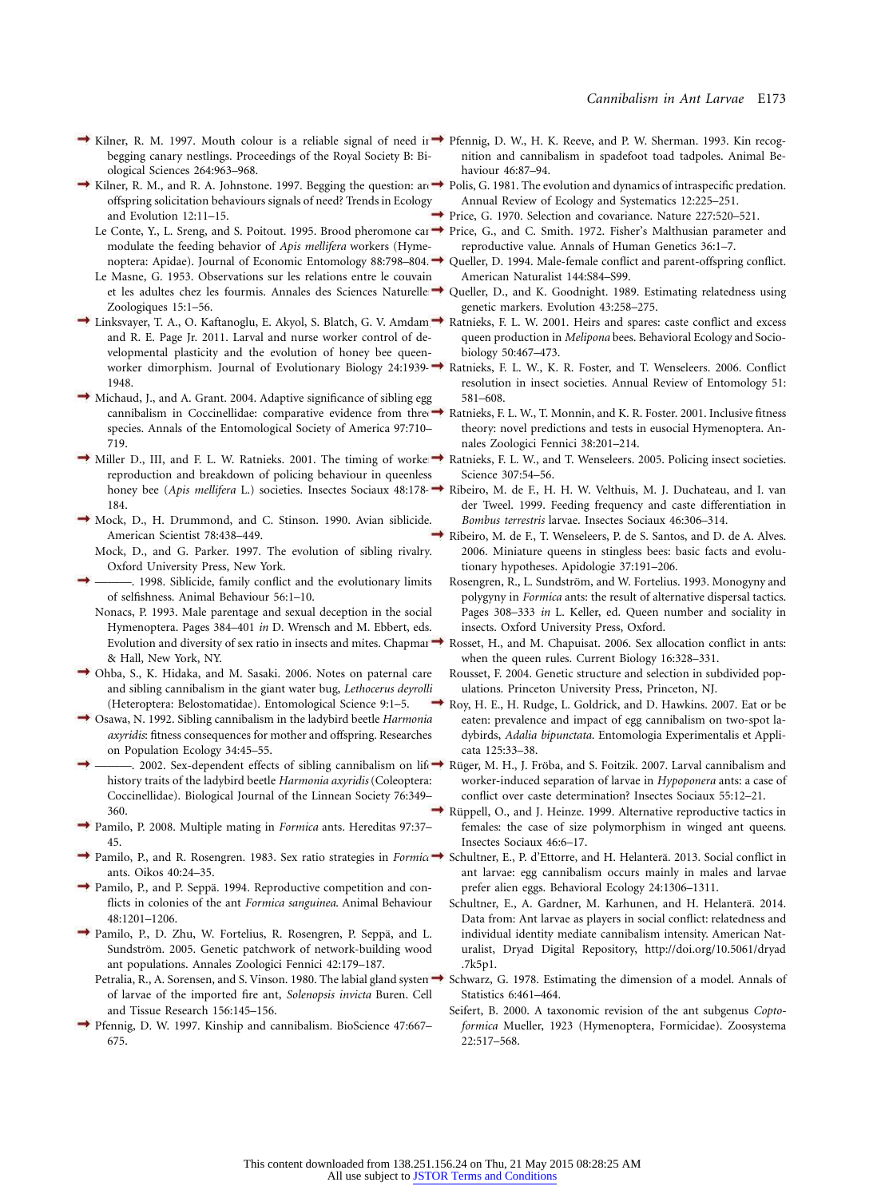- Kilner, R. M. 1997. Mouth colour is a reliable signal of need in Pfennig, D. W., H. K. Reeve, and P. W. Sherman. 1993. Kin recogbegging canary nestlings. Proceedings of the Royal Society B: Biological Sciences 264:963–968.
- Kilner, R. M., and R. A. Johnstone. 1997. Begging the question: are Polis, G. 1981. The evolution and dynamics of intraspecific predation. offspring solicitation behaviours signals of need? Trends in Ecology and Evolution 12:11–15.
	- Le Conte, Y., L. Sreng, and S. Poitout. 1995. Brood pheromone car→ Price, G., and C. Smith. 1972. Fisher's Malthusian parameter and modulate the feeding behavior of *Apis mellifera* workers (Hymenoptera: Apidae). Journal of Economic Entomology 88:798–804.
	- Le Masne, G. 1953. Observations sur les relations entre le couvain et les adultes chez les fourmis. Annales des Sciences Naturelles Zoologiques 15:1–56.
- → Linksvayer, T. A., O. Kaftanoglu, E. Akyol, S. Blatch, G. V. Amdam, and R. E. Page Jr. 2011. Larval and nurse worker control of developmental plasticity and the evolution of honey bee queen-1948.
- Michaud, J., and A. Grant. 2004. Adaptive significance of sibling egg cannibalism in Coccinellidae: comparative evidence from three  $\rightarrow$ species. Annals of the Entomological Society of America 97:710– 719.
- $\blacktriangleright$  Miller D., III, and F. L. W. Ratnieks. 2001. The timing of worke  $\blacktriangleright$ reproduction and breakdown of policing behaviour in queenless honey bee (*Apis mellifera* L.) societies. Insectes Sociaux 48:178– 184.
- Mock, D., H. Drummond, and C. Stinson. 1990. Avian siblicide. American Scientist 78:438–449.
	- Mock, D., and G. Parker. 1997. The evolution of sibling rivalry. Oxford University Press, New York.
- -. 1998. Siblicide, family conflict and the evolutionary limits of selfishness. Animal Behaviour 56:1–10.
	- Nonacs, P. 1993. Male parentage and sexual deception in the social Hymenoptera. Pages 384–401 *in* D. Wrensch and M. Ebbert, eds. & Hall, New York, NY.
- Ohba, S., K. Hidaka, and M. Sasaki. 2006. Notes on paternal care and sibling cannibalism in the giant water bug, *Lethocerus deyrolli* (Heteroptera: Belostomatidae). Entomological Science 9:1–5.
- Osawa, N. 1992. Sibling cannibalism in the ladybird beetle *Harmonia axyridis*: fitness consequences for mother and offspring. Researches on Population Ecology 34:45–55.
- $-$ . 2002. Sex-dependent effects of sibling cannibalism on life history traits of the ladybird beetle *Harmonia axyridis* (Coleoptera: Coccinellidae). Biological Journal of the Linnean Society 76:349– 360.
- Pamilo, P. 2008. Multiple mating in *Formica* ants. Hereditas 97:37– 45.
- Pamilo, P., and R. Rosengren. 1983. Sex ratio strategies in *Formic*a → Schultner, E., P. d'Ettorre, and H. Helanterä. 2013. Social conflict in ants. Oikos 40:24–35.
- Pamilo, P., and P. Seppä. 1994. Reproductive competition and conflicts in colonies of the ant *Formica sanguinea*. Animal Behaviour 48:1201–1206.
- Pamilo, P., D. Zhu, W. Fortelius, R. Rosengren, P. Seppä, and L. Sundström. 2005. Genetic patchwork of network-building wood ant populations. Annales Zoologici Fennici 42:179–187.
	- Petralia, R., A. Sorensen, and S. Vinson. 1980. The labial gland system Schwarz, G. 1978. Estimating the dimension of a model. Annals of of larvae of the imported fire ant, *Solenopsis invicta* Buren. Cell and Tissue Research 156:145–156.
- Pfennig, D. W. 1997. Kinship and cannibalism. BioScience 47:667– 675.
- nition and cannibalism in spadefoot toad tadpoles. Animal Behaviour 46:87–94.
- Annual Review of Ecology and Systematics 12:225–251.
- Price, G. 1970. Selection and covariance. Nature 227:520–521.
- reproductive value. Annals of Human Genetics 36:1–7.
- Queller, D. 1994. Male-female conflict and parent-offspring conflict. American Naturalist 144:S84–S99.
- Queller, D., and K. Goodnight. 1989. Estimating relatedness using genetic markers. Evolution 43:258–275.
- Ratnieks, F. L. W. 2001. Heirs and spares: caste conflict and excess queen production in *Melipona* bees. Behavioral Ecology and Sociobiology 50:467–473.
- worker dimorphism. Journal of Evolutionary Biology 24:1939– Ratnieks, F. L. W., K. R. Foster, and T. Wenseleers. 2006. Conflict resolution in insect societies. Annual Review of Entomology 51: 581–608.
	- Ratnieks, F. L. W., T. Monnin, and K. R. Foster. 2001. Inclusive fitness theory: novel predictions and tests in eusocial Hymenoptera. Annales Zoologici Fennici 38:201–214.
	- Ratnieks, F. L. W., and T. Wenseleers. 2005. Policing insect societies. Science 307:54–56.
	- Ribeiro, M. de F., H. H. W. Velthuis, M. J. Duchateau, and I. van der Tweel. 1999. Feeding frequency and caste differentiation in *Bombus terrestris* larvae. Insectes Sociaux 46:306–314.
	- Ribeiro, M. de F., T. Wenseleers, P. de S. Santos, and D. de A. Alves. 2006. Miniature queens in stingless bees: basic facts and evolutionary hypotheses. Apidologie 37:191–206.
	- Rosengren, R., L. Sundström, and W. Fortelius. 1993. Monogyny and polygyny in *Formica* ants: the result of alternative dispersal tactics. Pages 308–333 *in* L. Keller, ed. Queen number and sociality in insects. Oxford University Press, Oxford.
- Evolution and diversity of sex ratio in insects and mites. Chapman Rosset, H., and M. Chapuisat. 2006. Sex allocation conflict in ants: when the queen rules. Current Biology 16:328–331.
	- Rousset, F. 2004. Genetic structure and selection in subdivided populations. Princeton University Press, Princeton, NJ.
	- Roy, H. E., H. Rudge, L. Goldrick, and D. Hawkins. 2007. Eat or be eaten: prevalence and impact of egg cannibalism on two-spot ladybirds, *Adalia bipunctata*. Entomologia Experimentalis et Applicata 125:33–38.
		- Rüger, M. H., J. Fröba, and S. Foitzik. 2007. Larval cannibalism and worker-induced separation of larvae in *Hypoponera* ants: a case of conflict over caste determination? Insectes Sociaux 55:12–21.
	- Rüppell, O., and J. Heinze. 1999. Alternative reproductive tactics in females: the case of size polymorphism in winged ant queens. Insectes Sociaux 46:6–17.
	- ant larvae: egg cannibalism occurs mainly in males and larvae prefer alien eggs. Behavioral Ecology 24:1306–1311.
	- Schultner, E., A. Gardner, M. Karhunen, and H. Helanterä. 2014. Data from: Ant larvae as players in social conflict: relatedness and individual identity mediate cannibalism intensity. American Naturalist, Dryad Digital Repository, [http://doi.org/10.5061/dryad](http://doi.org/10.5061/dryad.7k5p1) [.7k5p1.](http://doi.org/10.5061/dryad.7k5p1)
	- Statistics 6:461–464.
	- Seifert, B. 2000. A taxonomic revision of the ant subgenus *Coptoformica* Mueller, 1923 (Hymenoptera, Formicidae). Zoosystema 22:517–568.